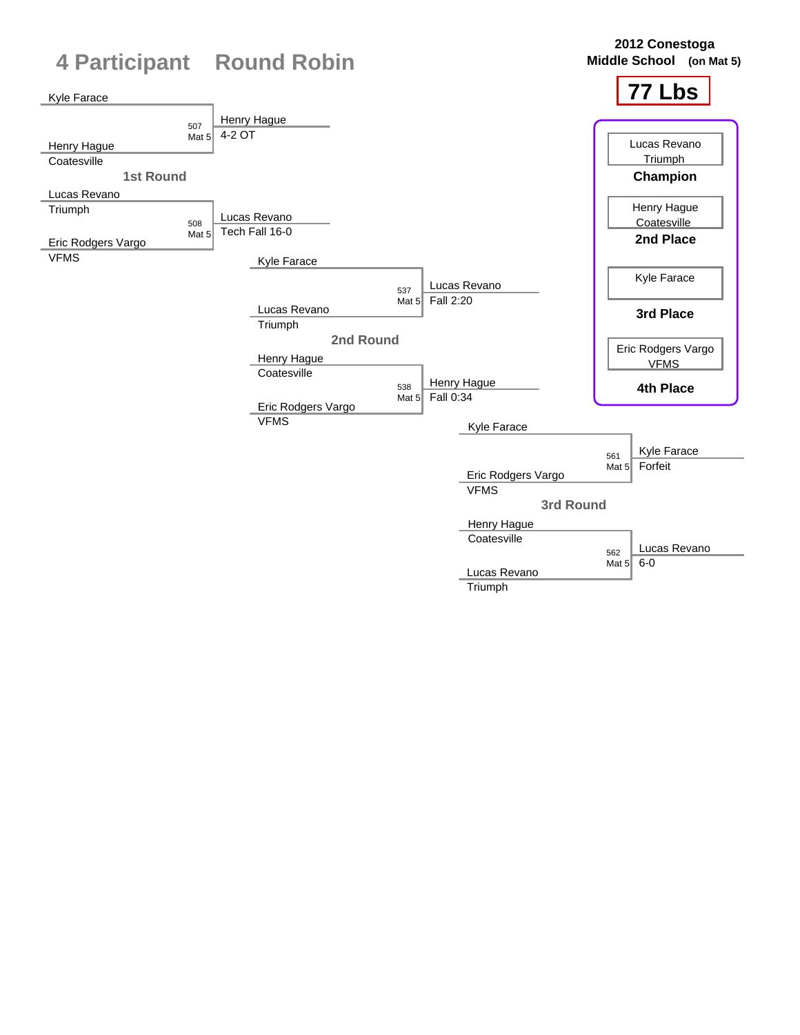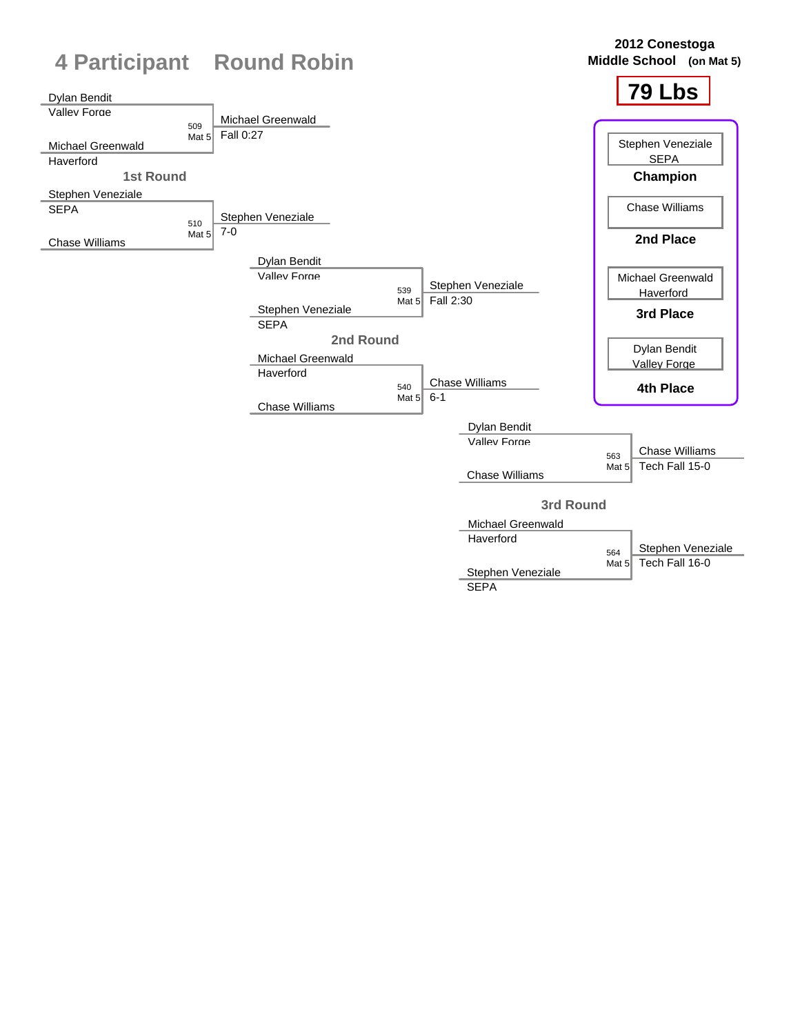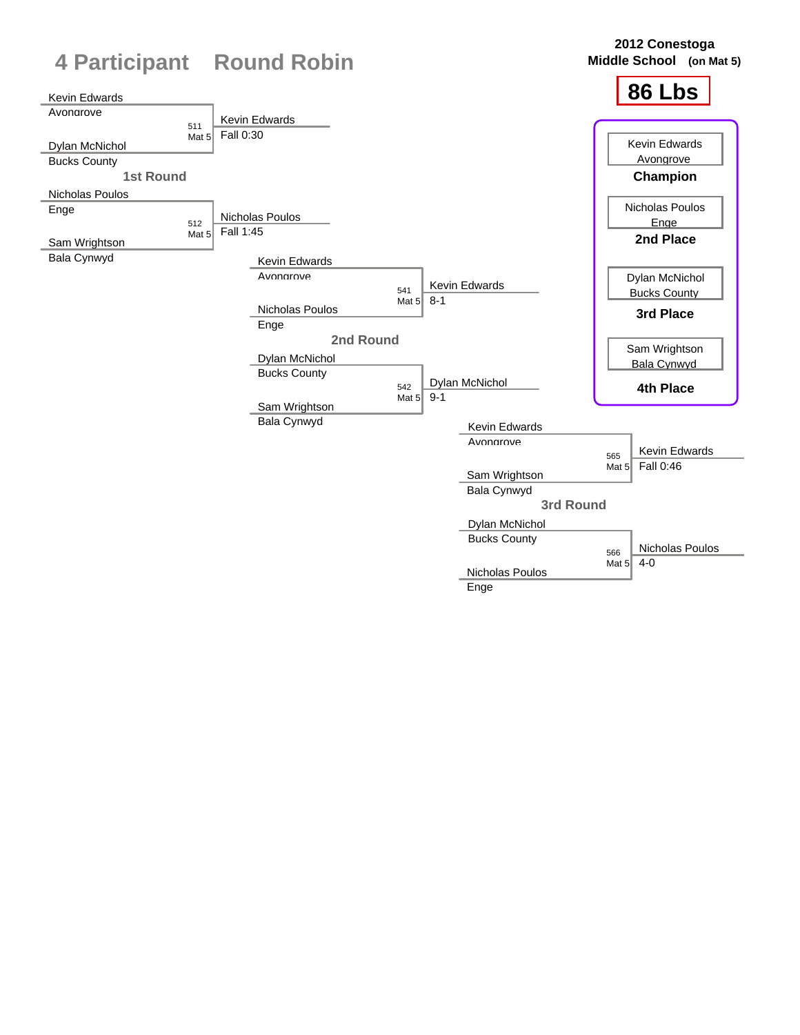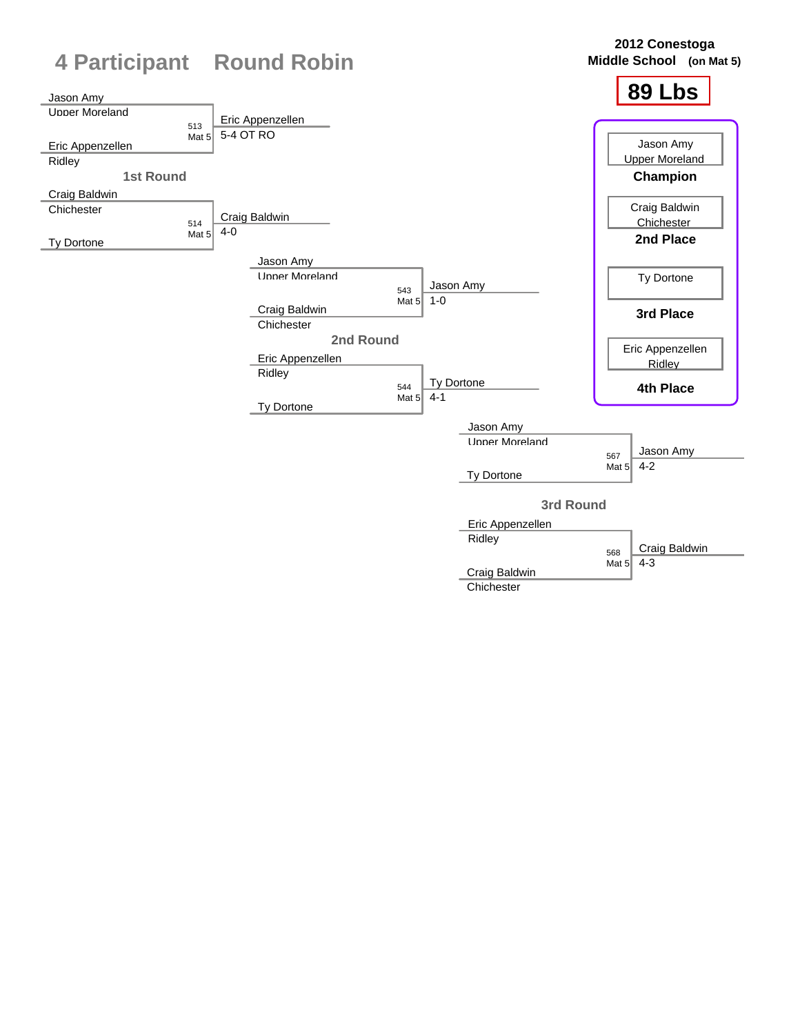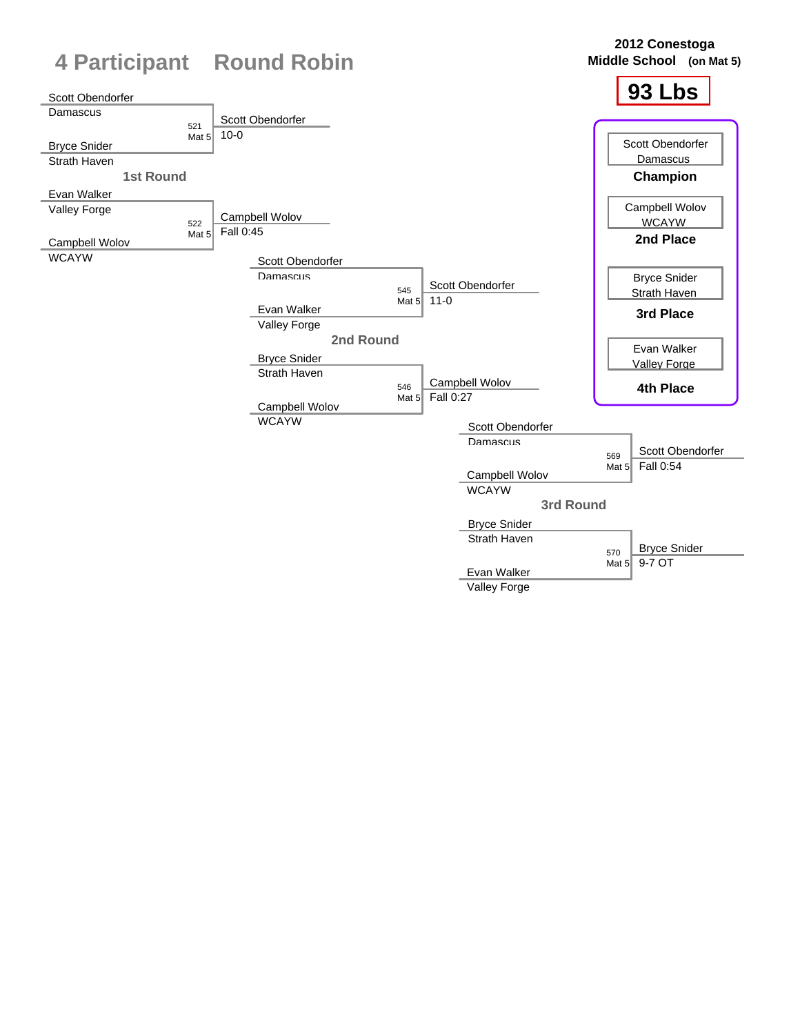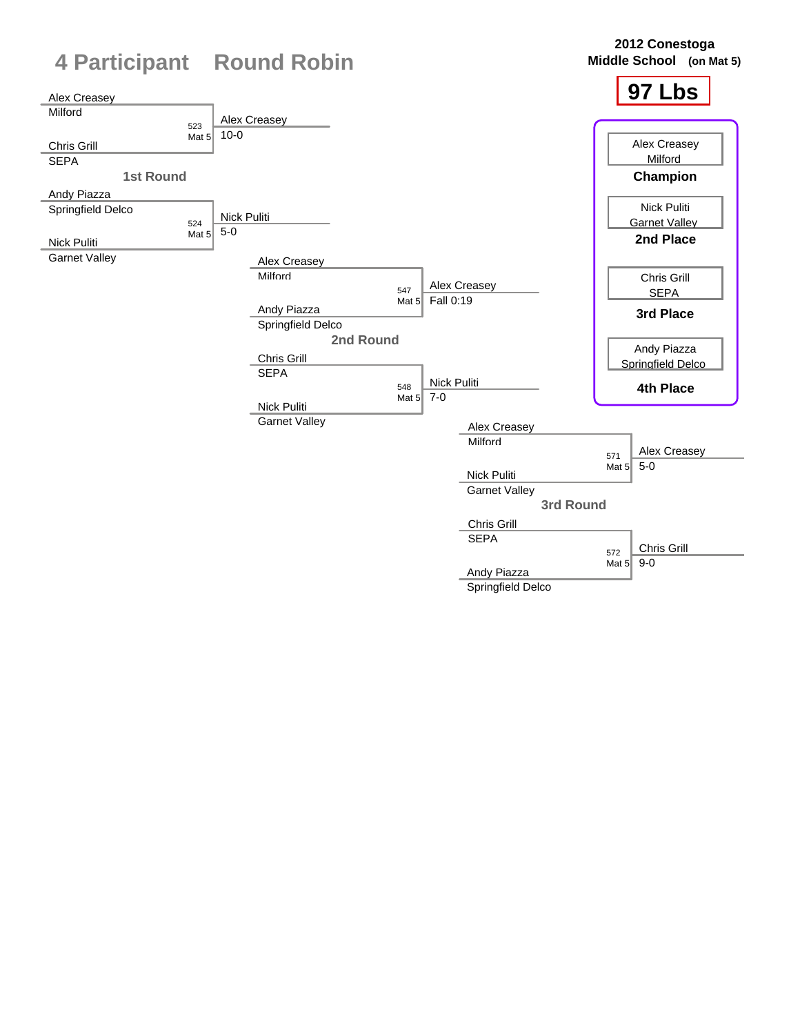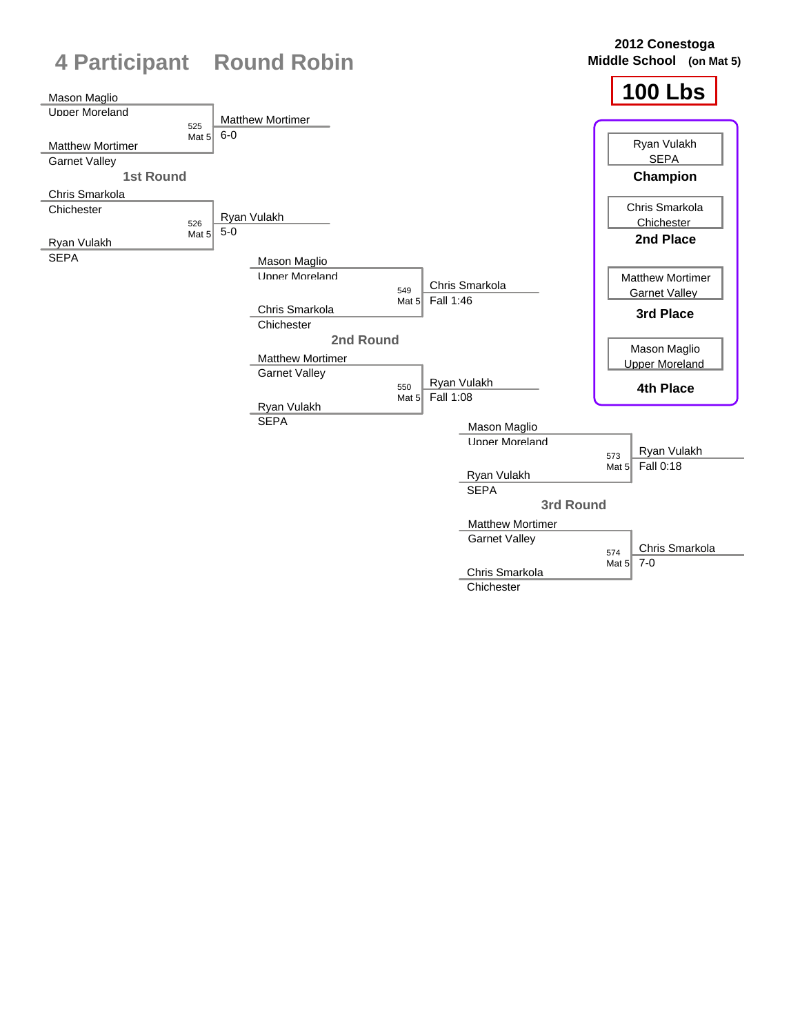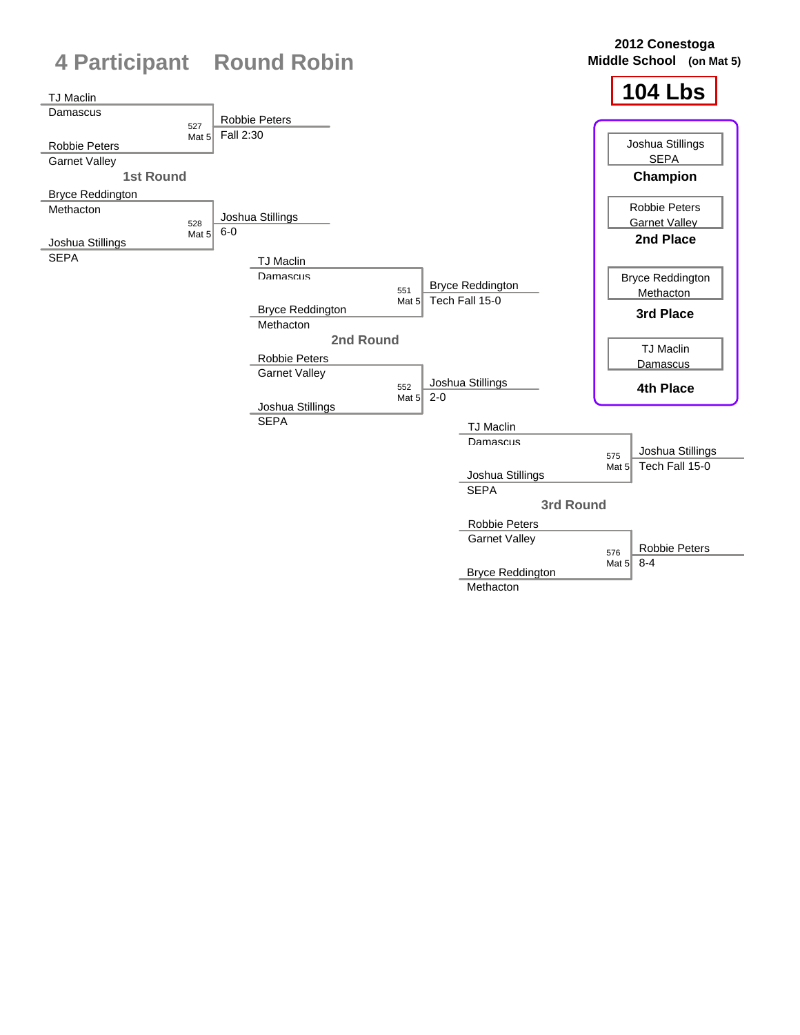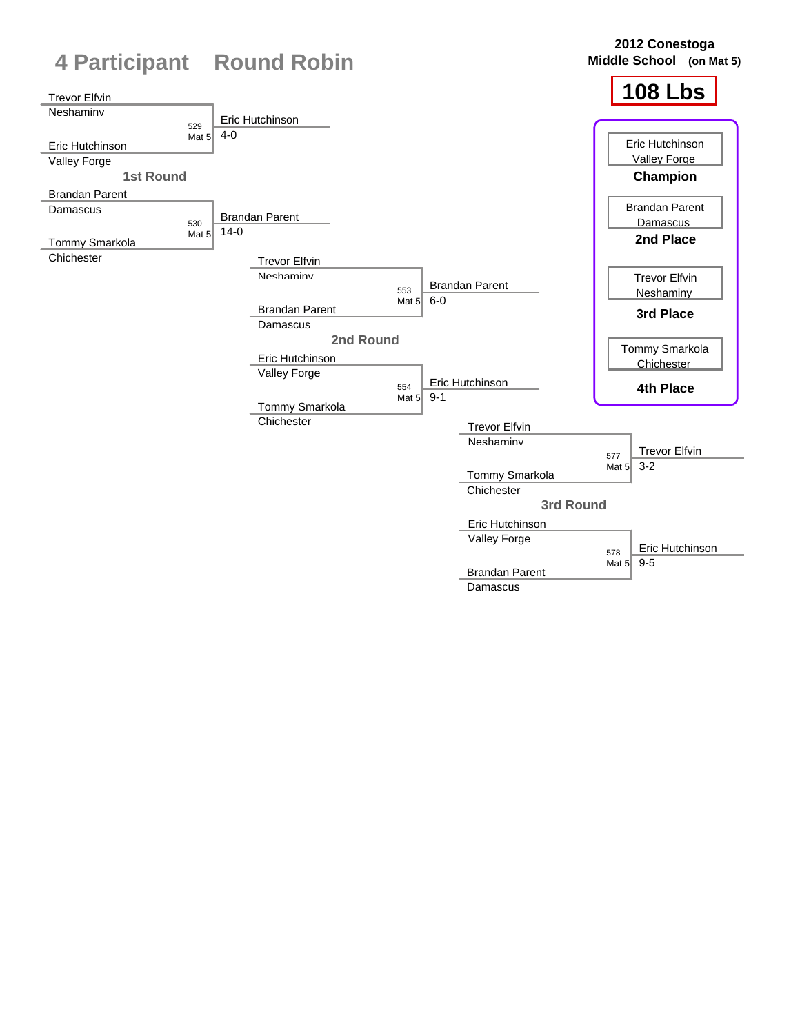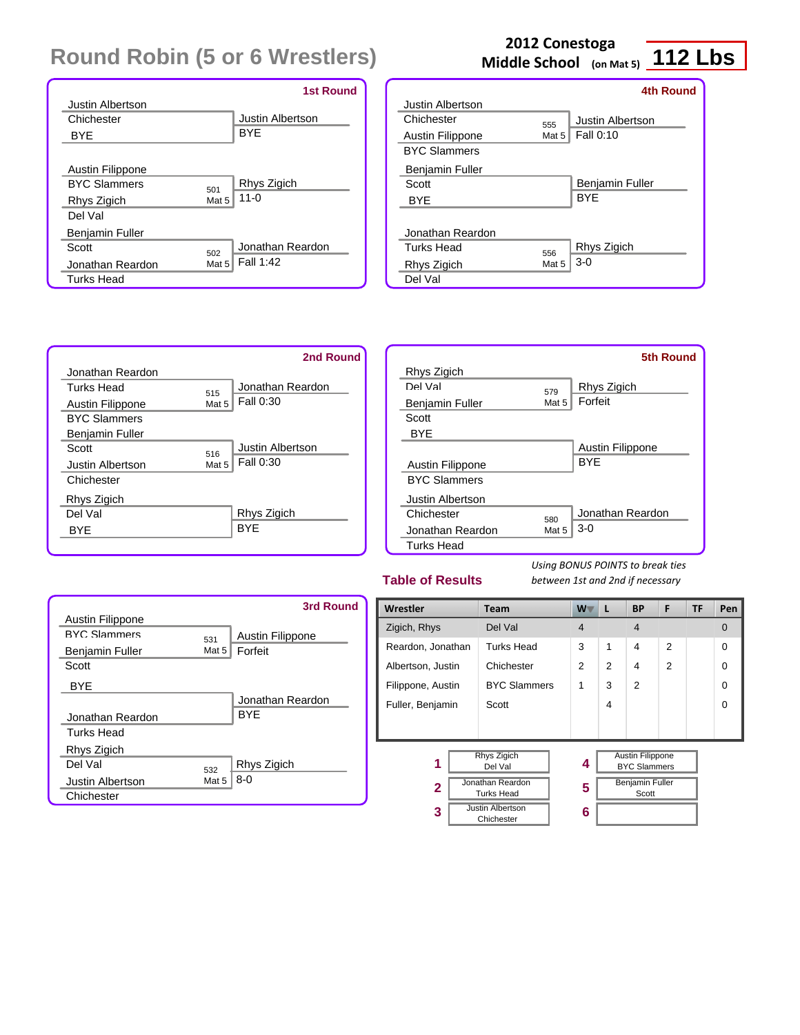|                            | <b>1st Round</b> |
|----------------------------|------------------|
| Justin Albertson           |                  |
| Chichester                 | Justin Albertson |
| BYE                        | <b>BYE</b>       |
|                            |                  |
| Austin Filippone           |                  |
| <b>RYC Slammers</b><br>501 | Rhys Zigich      |
| Mat 5<br>Rhys Zigich       | $11 - 0$         |
| Del Val                    |                  |
| Benjamin Fuller            |                  |
| Scott<br>502               | Jonathan Reardon |
| Jonathan Reardon<br>Mat 5  | Fall 1:42        |
| Turks Head                 |                  |

### **112 Lbs Middle School (on Mat 5) 2012 Conestoga**

|                     |       | 4th Round        |
|---------------------|-------|------------------|
| Justin Albertson    |       |                  |
| Chichester          | 555   | Justin Albertson |
| Austin Filippone    | Mat 5 | <b>Fall 0:10</b> |
| <b>BYC Slammers</b> |       |                  |
| Benjamin Fuller     |       |                  |
| Scott               |       | Benjamin Fuller  |
| <b>BYE</b>          |       | <b>BYF</b>       |
|                     |       |                  |
| Jonathan Reardon    |       |                  |
| Turks Head          | 556   | Rhys Zigich      |
| Rhys Zigich         | Mat 5 | $3-0$            |
| Del Val             |       |                  |
|                     |       |                  |



|                     |       | <b>5th Round</b> |
|---------------------|-------|------------------|
| Rhys Zigich         |       |                  |
| Del Val             | 579   | Rhys Zigich      |
| Benjamin Fuller     | Mat 5 | Forfeit          |
| Scott               |       |                  |
| <b>BYE</b>          |       |                  |
|                     |       | Austin Filippone |
| Austin Filippone    |       | <b>BYE</b>       |
| <b>BYC Slammers</b> |       |                  |
| Justin Albertson    |       |                  |
| Chichester          | 580   | Jonathan Reardon |
| Jonathan Reardon    | Mat 5 | $3-0$            |
| Turks Head          |       |                  |

#### **Table of Results**



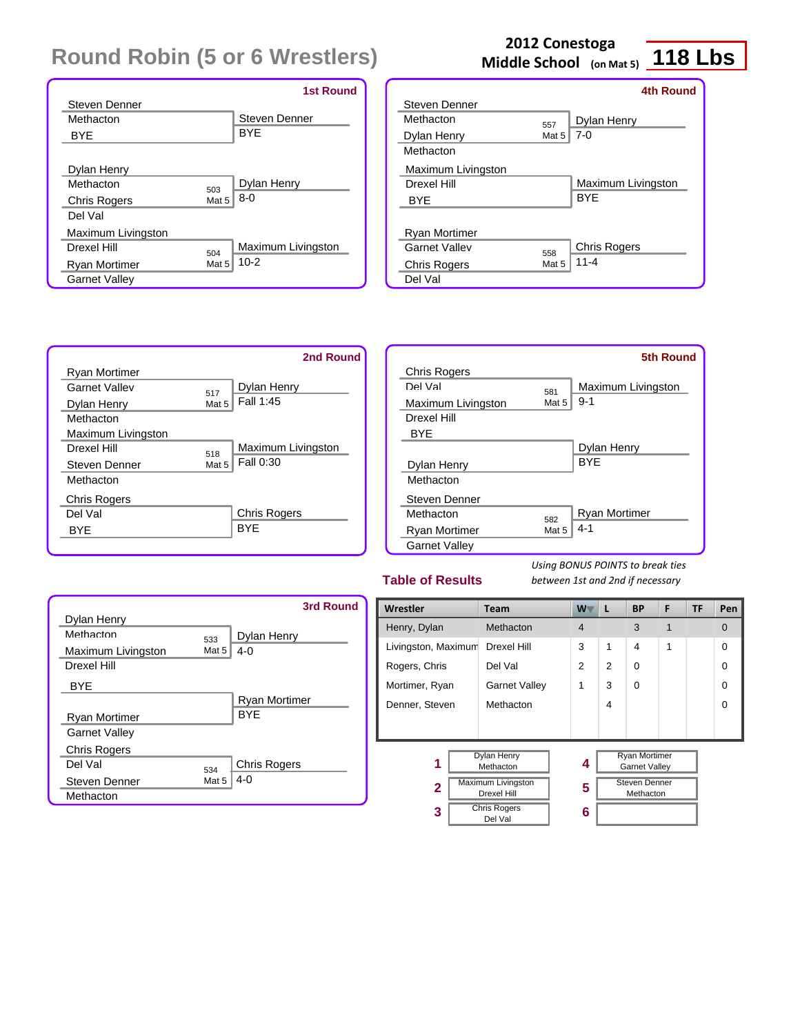|                      |       | <b>1st Round</b>     |
|----------------------|-------|----------------------|
| Steven Denner        |       |                      |
| Methacton            |       | <b>Steven Denner</b> |
| <b>BYE</b>           |       | <b>BYE</b>           |
|                      |       |                      |
| Dylan Henry          |       |                      |
| Methacton            | 503   | Dylan Henry          |
| <b>Chris Rogers</b>  | Mat 5 | $8-0$                |
| Del Val              |       |                      |
| Maximum Livingston   |       |                      |
| Drexel Hill          | 504   | Maximum Livingston   |
| Ryan Mortimer        | Mat 5 | $10-2$               |
| <b>Garnet Valley</b> |       |                      |

#### **2012 Conestoga Middle School (on Mat 5)**

## **118 Lbs**

|                     |       | <b>4th Round</b>    |
|---------------------|-------|---------------------|
| Steven Denner       |       |                     |
| Methacton           | 557   | Dylan Henry         |
| Dylan Henry         | Mat 5 | $7-0$               |
| Methacton           |       |                     |
| Maximum Livingston  |       |                     |
| Drexel Hill         |       | Maximum Livingston  |
| BYE                 |       | <b>BYF</b>          |
|                     |       |                     |
| Ryan Mortimer       |       |                     |
| Garnet Valley       | 558   | <b>Chris Rogers</b> |
| <b>Chris Rogers</b> | Mat 5 | $11 - 4$            |
| Del Val             |       |                     |
|                     |       |                     |



|                      |       | <b>5th Round</b>     |
|----------------------|-------|----------------------|
| <b>Chris Rogers</b>  |       |                      |
| Del Val              | 581   | Maximum Livingston   |
| Maximum Livingston   | Mat 5 | $9 - 1$              |
| Drexel Hill          |       |                      |
| <b>BYF</b>           |       |                      |
|                      |       | Dylan Henry          |
| Dylan Henry          |       | <b>BYE</b>           |
| Methacton            |       |                      |
| Steven Denner        |       |                      |
| Methacton            | 582   | <b>Ryan Mortimer</b> |
| <b>Ryan Mortimer</b> | Mat 5 | $4 - 1$              |
| <b>Garnet Valley</b> |       |                      |

#### **Table of Results**

|                      |          | 3rd Round            |
|----------------------|----------|----------------------|
| Dylan Henry          |          |                      |
| Methacton            | 533      | Dylan Henry          |
| Maximum Livingston   | Mat $52$ | 4-0                  |
| Drexel Hill          |          |                      |
| <b>BYF</b>           |          |                      |
|                      |          | <b>Ryan Mortimer</b> |
| Ryan Mortimer        |          | <b>BYF</b>           |
| <b>Garnet Valley</b> |          |                      |
| <b>Chris Rogers</b>  |          |                      |
| Del Val              | 534      | <b>Chris Rogers</b>  |
| <b>Steven Denner</b> | Mat 5    | $4-0$                |
| Methacton            |          |                      |

| Wrestler            | <b>Team</b>                                     | $W^-$          | L              | <b>BP</b>                                    | F | TF | Pen      |
|---------------------|-------------------------------------------------|----------------|----------------|----------------------------------------------|---|----|----------|
| Henry, Dylan        | Methacton                                       | $\overline{4}$ |                | 3                                            | 1 |    | $\Omega$ |
| Livingston, Maximum | Drexel Hill                                     | 3              | $\mathbf 1$    | 4                                            | 1 |    | $\Omega$ |
| Rogers, Chris       | Del Val                                         | $\overline{2}$ | $\overline{2}$ | 0                                            |   |    | $\Omega$ |
| Mortimer, Ryan      | <b>Garnet Valley</b>                            | 1              | 3              | $\Omega$                                     |   |    | $\Omega$ |
| Denner, Steven      | Methacton                                       |                | 4              |                                              |   |    | $\Omega$ |
|                     |                                                 |                |                |                                              |   |    |          |
|                     | <b>Dylan Henry</b><br>Methacton                 | 4              |                | <b>Ryan Mortimer</b><br><b>Garnet Valley</b> |   |    |          |
| $\mathbf{2}$        | <b>Maximum Livingston</b><br><b>Drexel Hill</b> | 5              |                | <b>Steven Denner</b><br>Methacton            |   |    |          |
| 3                   | <b>Chris Rogers</b><br>Del Val                  | 6              |                |                                              |   |    |          |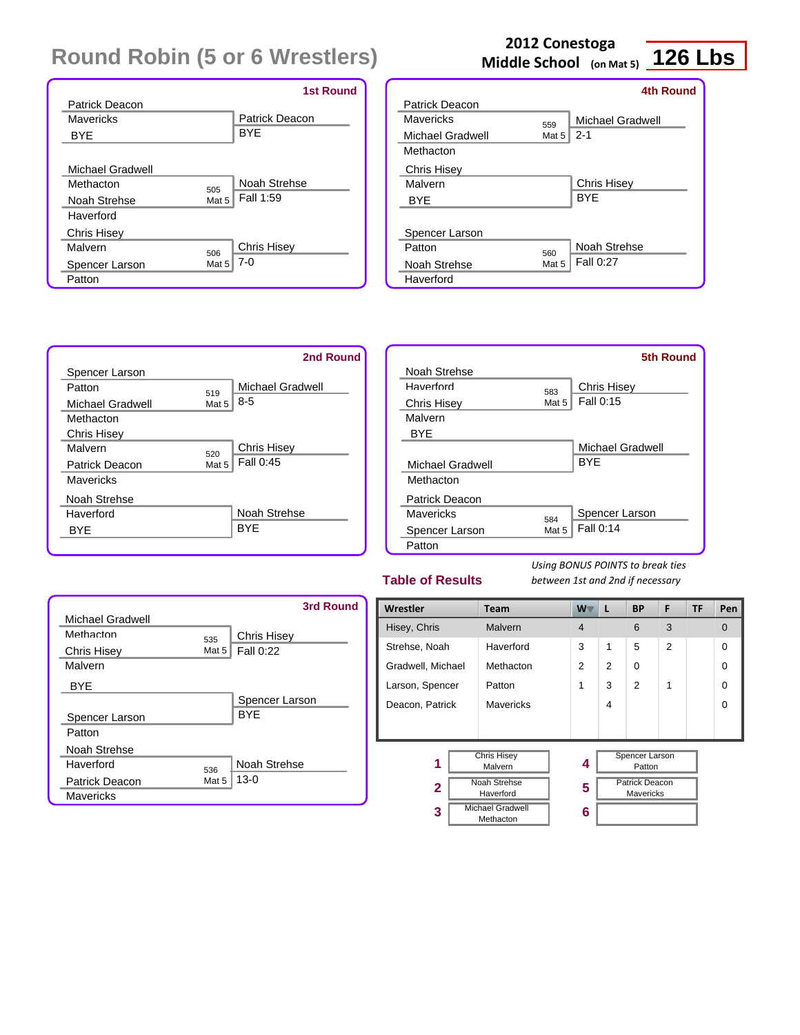|                         | <b>1st Round</b>      |
|-------------------------|-----------------------|
| Patrick Deacon          |                       |
| Mayericks               | <b>Patrick Deacon</b> |
| <b>BYE</b>              | <b>BYE</b>            |
|                         |                       |
| Michael Gradwell        |                       |
| Methacton<br>505        | Noah Strehse          |
| Noah Strehse<br>Mat 5   | Fall 1:59             |
| Haverford               |                       |
| <b>Chris Hisey</b>      |                       |
| Malvern<br>506          | <b>Chris Hisey</b>    |
| Mat 5<br>Spencer Larson | $7-0$                 |
| Patton                  |                       |

# **2012 Conestoga**

**126 Lbs Middle School (on Mat 5)**

|                         |       | 4th Round        |
|-------------------------|-------|------------------|
| Patrick Deacon          |       |                  |
| Mavericks               | 559   | Michael Gradwell |
| <b>Michael Gradwell</b> | Mat 5 | $2 - 1$          |
| Methacton               |       |                  |
| <b>Chris Hisey</b>      |       |                  |
| Malvern                 |       | Chris Hisey      |
| <b>BYE</b>              |       | <b>BYF</b>       |
|                         |       |                  |
| Spencer Larson          |       |                  |
| Patton                  | 560   | Noah Strehse     |
| Noah Strehse            | Mat 5 | Fall 0:27        |
| Haverford               |       |                  |



|                    |       | 5th Round        |
|--------------------|-------|------------------|
| Noah Strehse       |       |                  |
| Haverford          | 583   | Chris Hisey      |
| <b>Chris Hisey</b> | Mat 5 | Fall 0:15        |
| Malvern            |       |                  |
| <b>BYE</b>         |       |                  |
|                    |       | Michael Gradwell |
| Michael Gradwell   |       | <b>BYF</b>       |
| Methacton          |       |                  |
| Patrick Deacon     |       |                  |
| Mavericks          | 584   | Spencer Larson   |
| Spencer Larson     | Mat 5 | Fall 0:14        |
| Patton             |       |                  |

#### **Table of Results**

|                       |       | 3rd Round          |
|-----------------------|-------|--------------------|
| Michael Gradwell      |       |                    |
| Methacton             | 535   | <b>Chris Hisey</b> |
| <b>Chris Hisey</b>    | Mat 5 | Fall 0:22          |
| Malvern               |       |                    |
| <b>BYE</b>            |       |                    |
|                       |       | Spencer Larson     |
| Spencer Larson        |       | <b>BYF</b>         |
| Patton                |       |                    |
| Noah Strehse          |       |                    |
| Haverford             | 536   | Noah Strehse       |
| <b>Patrick Deacon</b> | Mat 5 | $13-0$             |
| Mavericks             |       |                    |

| Wrestler          | <b>Team</b>                          | <b>W</b>       | L              | <b>BP</b>                                 | F              | TF | Pen      |
|-------------------|--------------------------------------|----------------|----------------|-------------------------------------------|----------------|----|----------|
| Hisey, Chris      | Malvern                              | $\overline{4}$ |                | 6                                         | 3              |    | $\Omega$ |
| Strehse, Noah     | Haverford                            | 3              | 1              | 5                                         | $\overline{2}$ |    | $\Omega$ |
| Gradwell, Michael | Methacton                            | $\overline{2}$ | $\overline{2}$ | 0                                         |                |    | $\Omega$ |
| Larson, Spencer   | Patton                               | 1              | 3              | 2                                         | 1              |    | $\Omega$ |
| Deacon, Patrick   | <b>Mavericks</b>                     |                | 4              |                                           |                |    | $\Omega$ |
|                   |                                      |                |                |                                           |                |    |          |
|                   |                                      |                |                |                                           |                |    |          |
| 1                 | <b>Chris Hisey</b><br>Malvern        | 4              |                | Spencer Larson<br>Patton                  |                |    |          |
| $\mathbf{2}$      | <b>Noah Strehse</b><br>Haverford     | 5              |                | <b>Patrick Deacon</b><br><b>Mavericks</b> |                |    |          |
| 3                 | <b>Michael Gradwell</b><br>Methacton | 6              |                |                                           |                |    |          |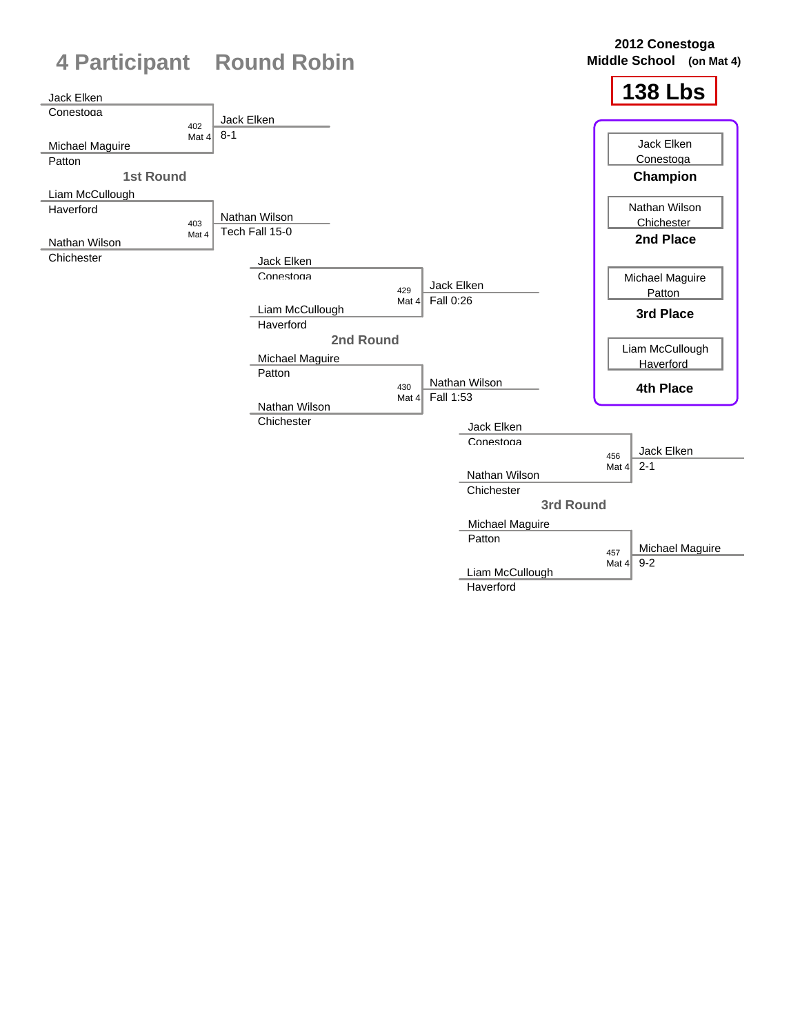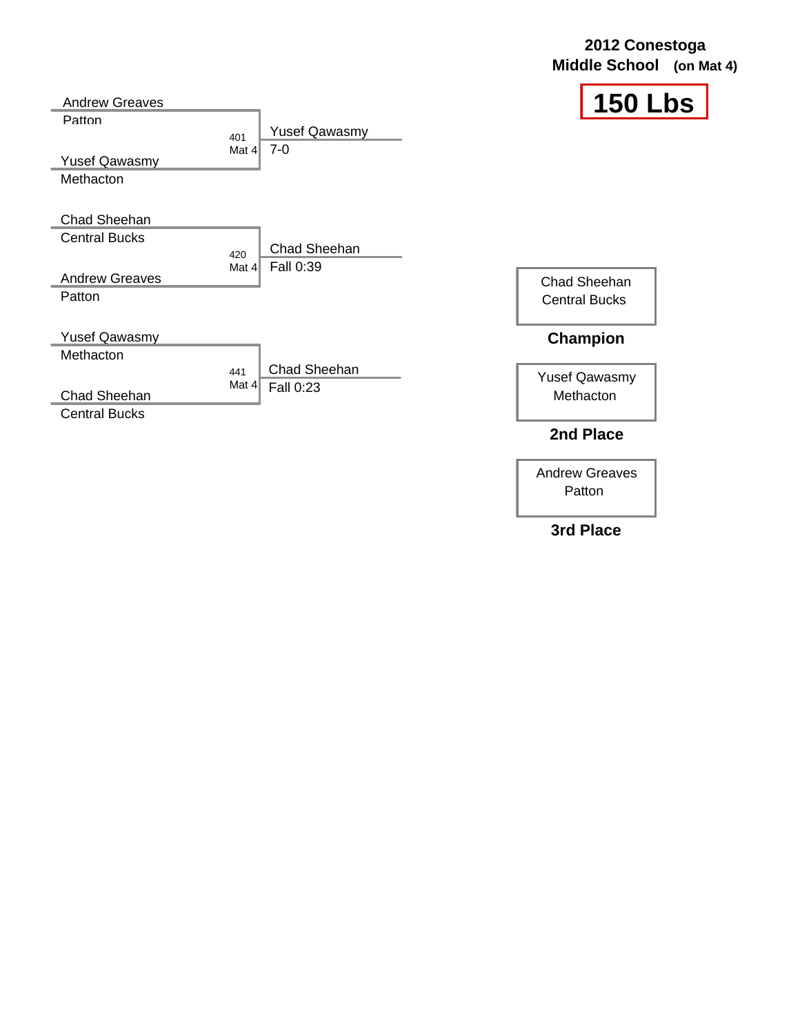| 2012 Conestoga           |  |
|--------------------------|--|
| Middle School (on Mat 4) |  |



| <b>Andrew Greaves</b>                                                   |                         |                                 | 15                                                   |
|-------------------------------------------------------------------------|-------------------------|---------------------------------|------------------------------------------------------|
| Patton<br><b>Yusef Qawasmy</b><br>Methacton                             | 401<br>Mat $4\parallel$ | <b>Yusef Qawasmy</b><br>$7 - 0$ |                                                      |
| Chad Sheehan<br><b>Central Bucks</b><br><b>Andrew Greaves</b><br>Patton | 420<br>Mat $4$          | Chad Sheehan<br>Fall 0:39       | Chad Sheehan<br><b>Central Bucks</b>                 |
| <b>Yusef Qawasmy</b><br>Methacton<br>Chad Sheehan                       | 441<br>Mat $4$          | Chad Sheehan<br>Fall 0:23       | <b>Champion</b><br><b>Yusef Qawasmy</b><br>Methacton |
| <b>Central Bucks</b>                                                    |                         |                                 | 2nd Place                                            |

Andrew Greaves Patton

**3rd Place**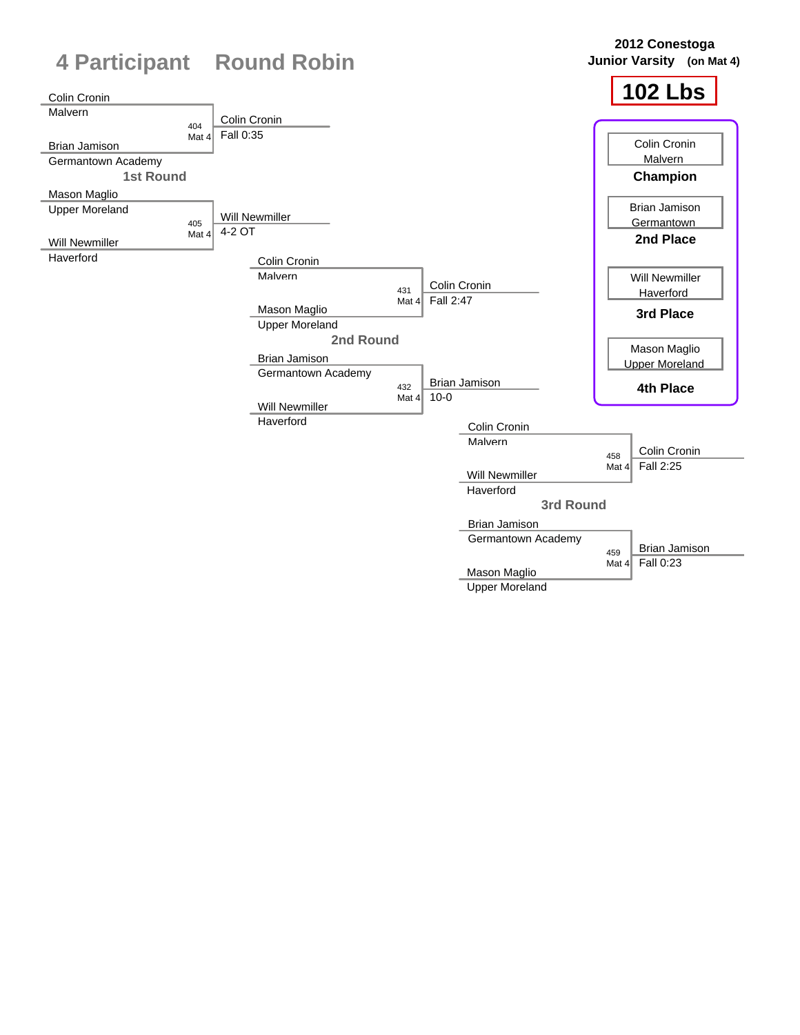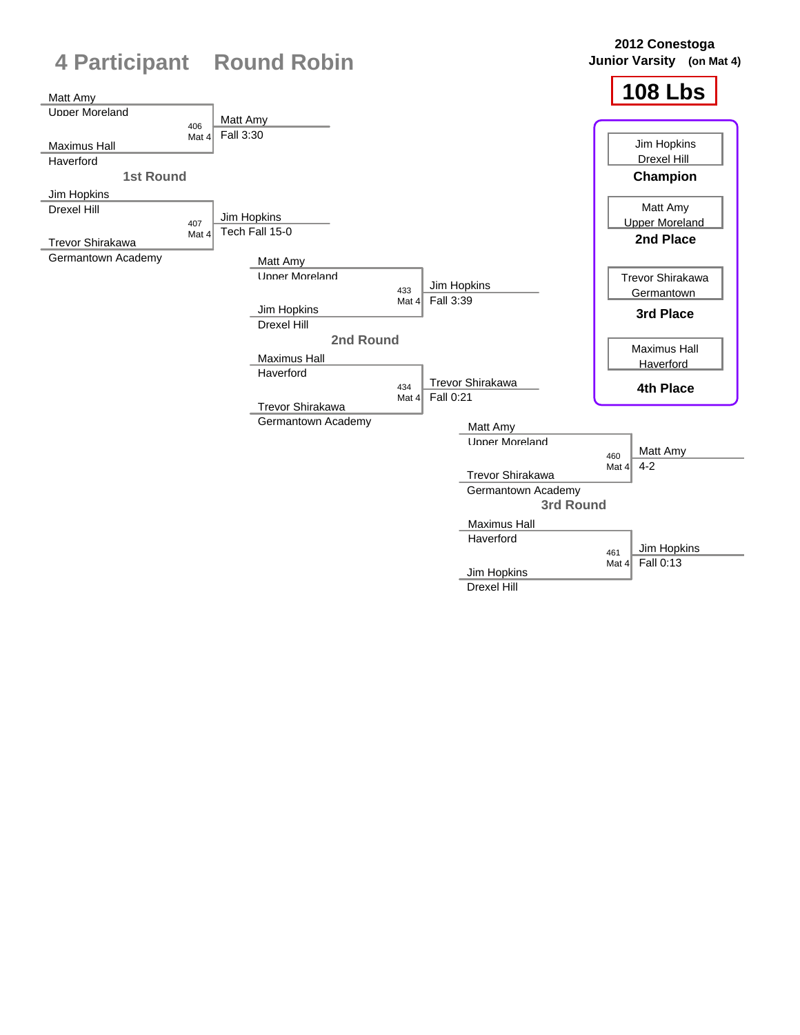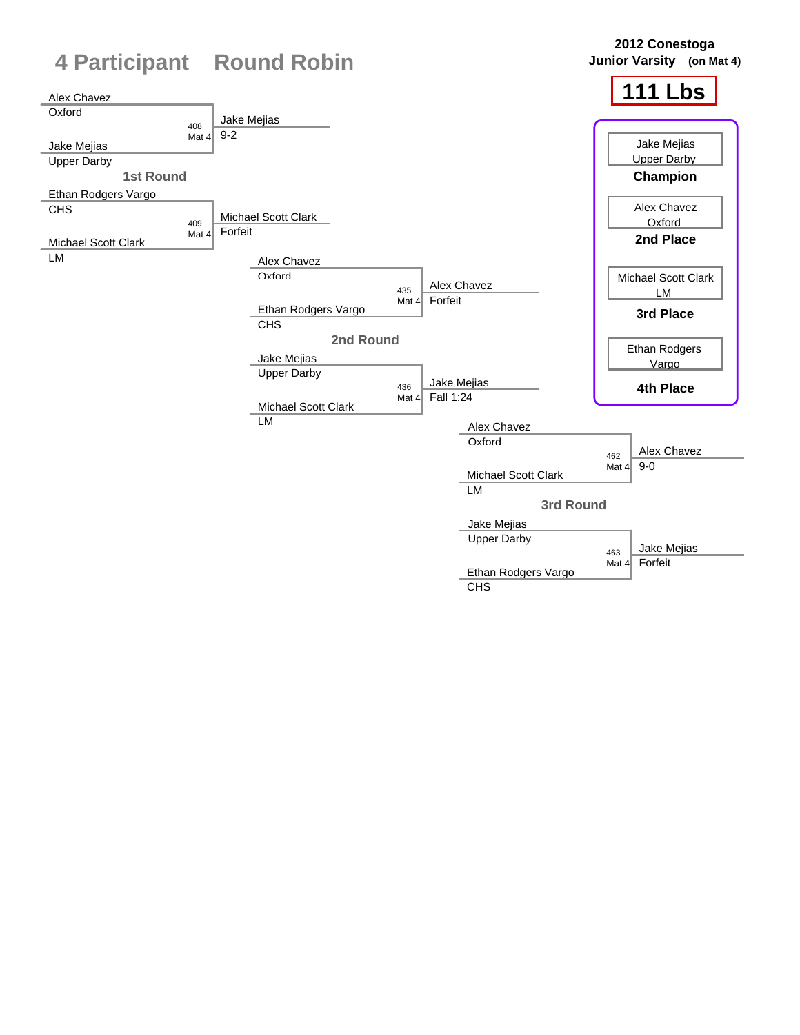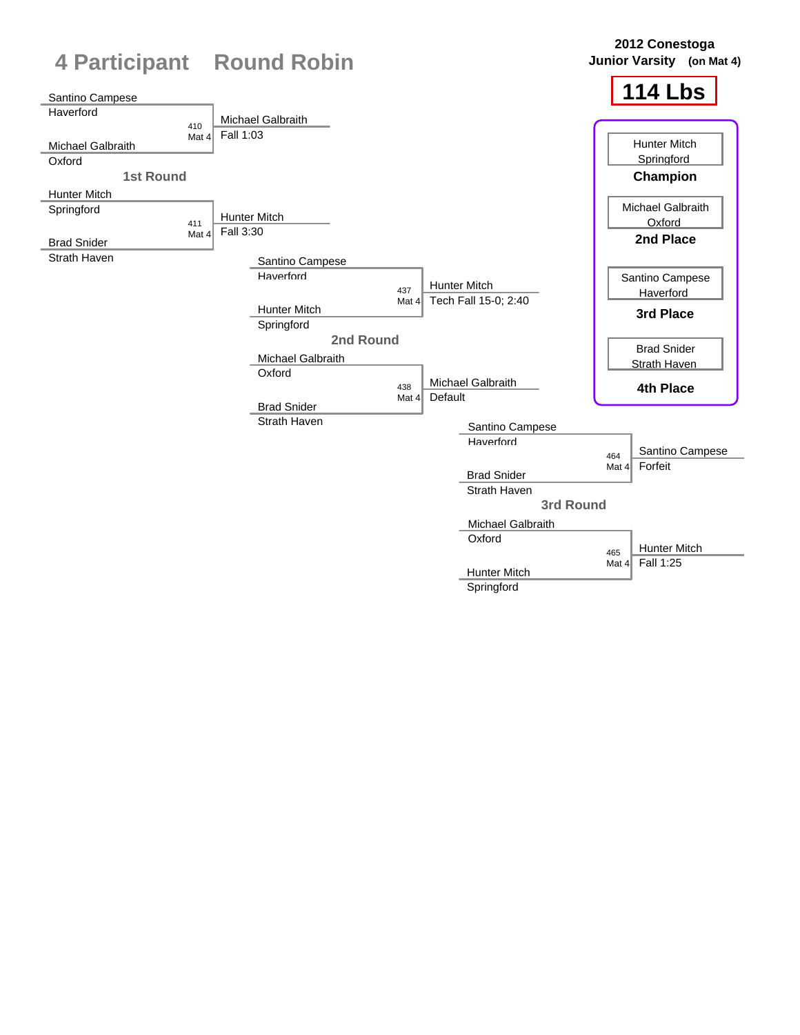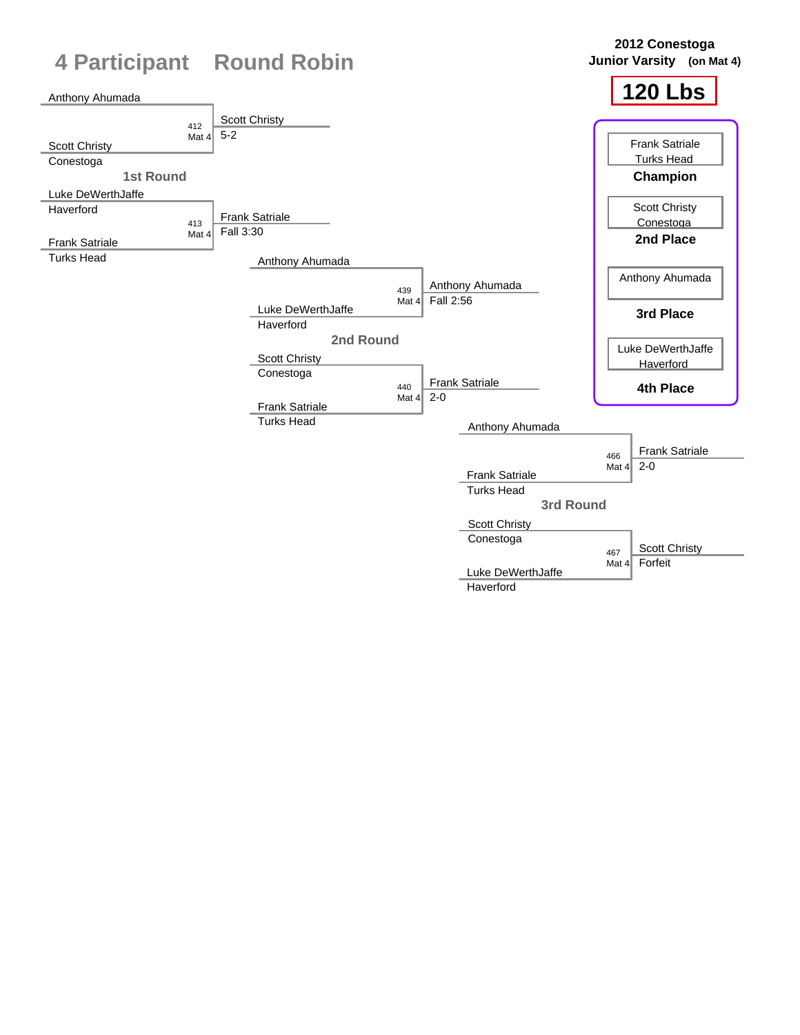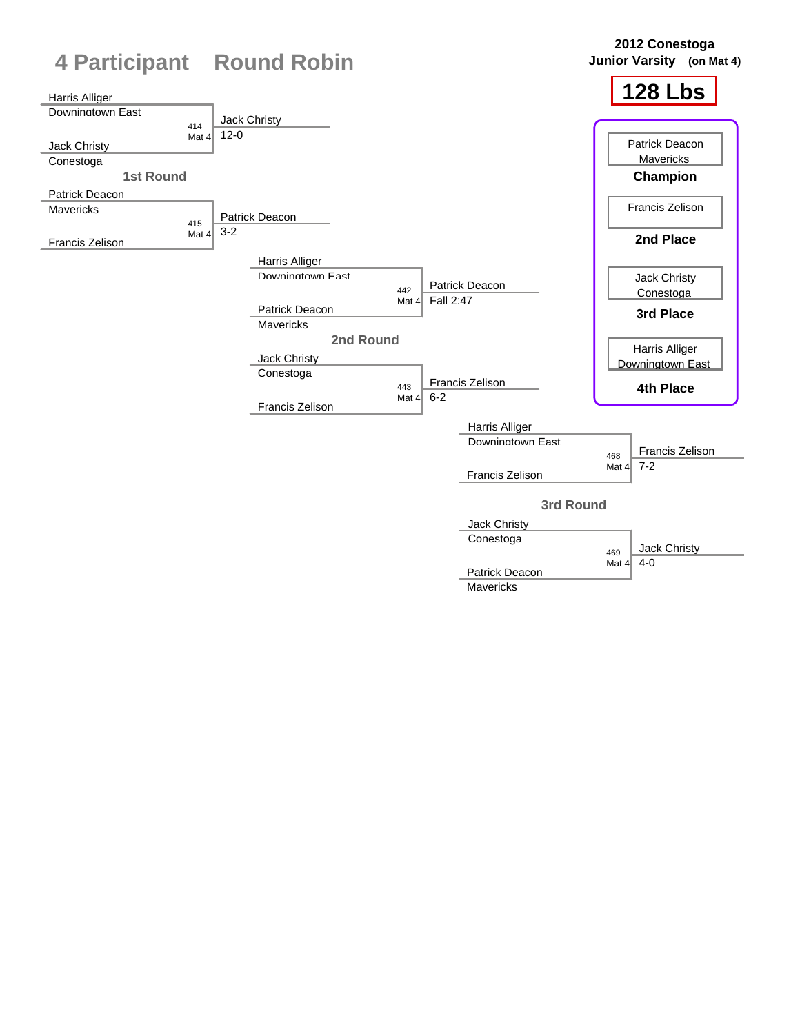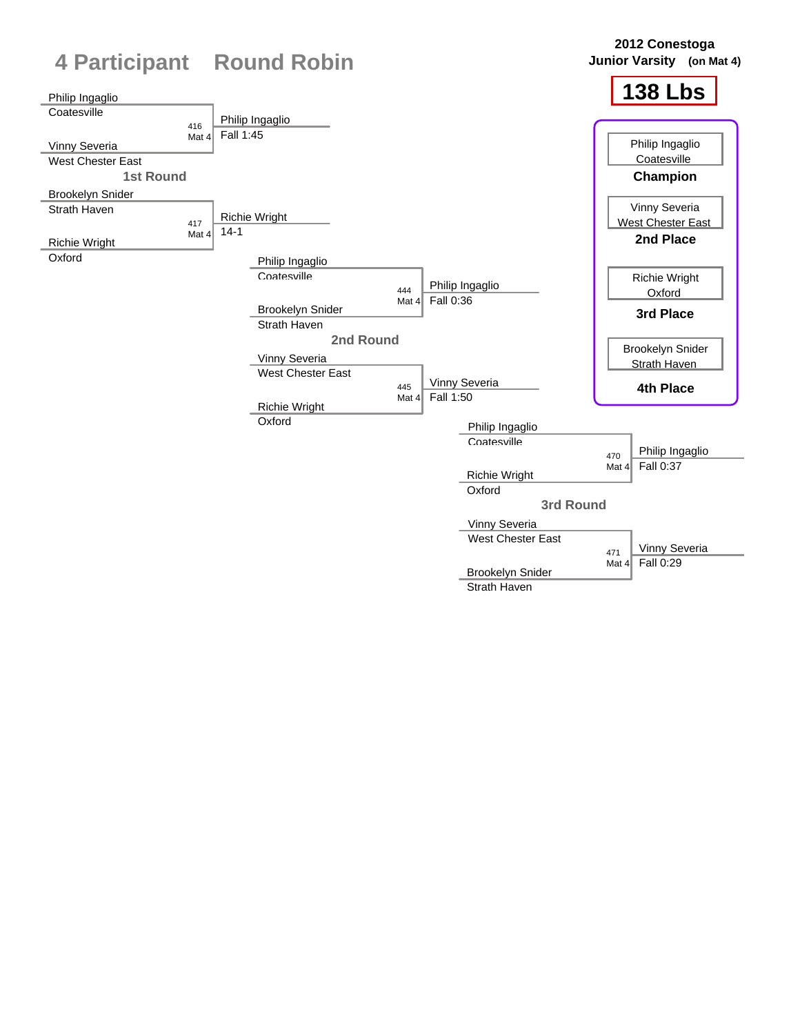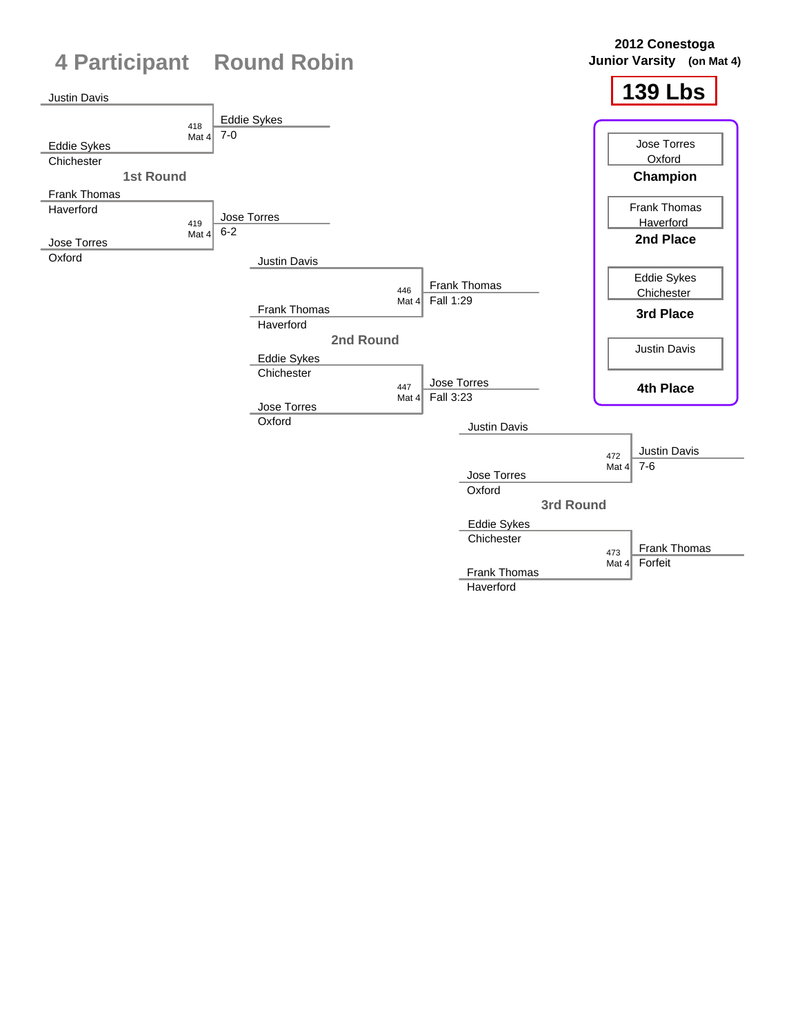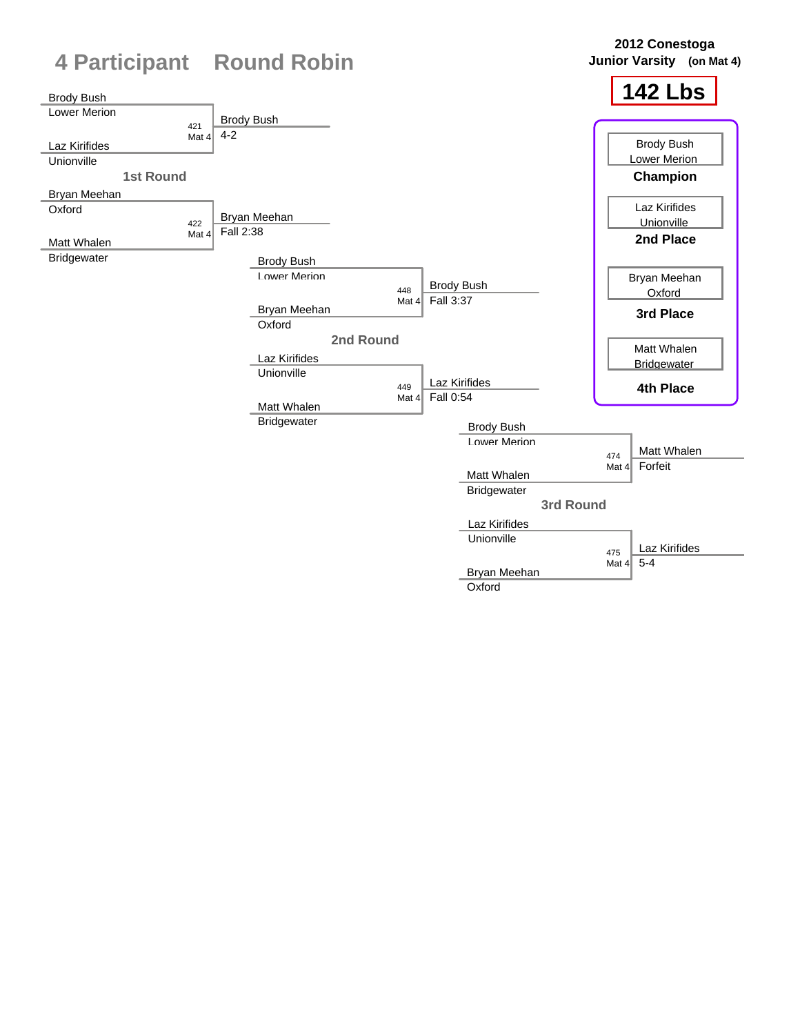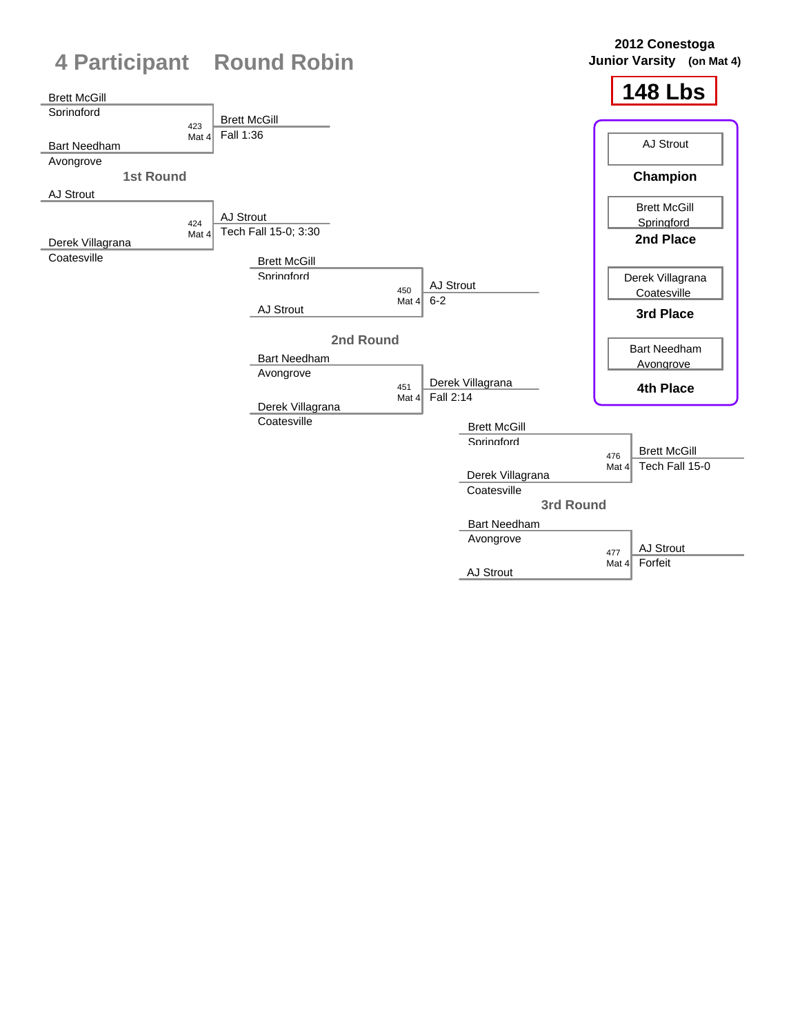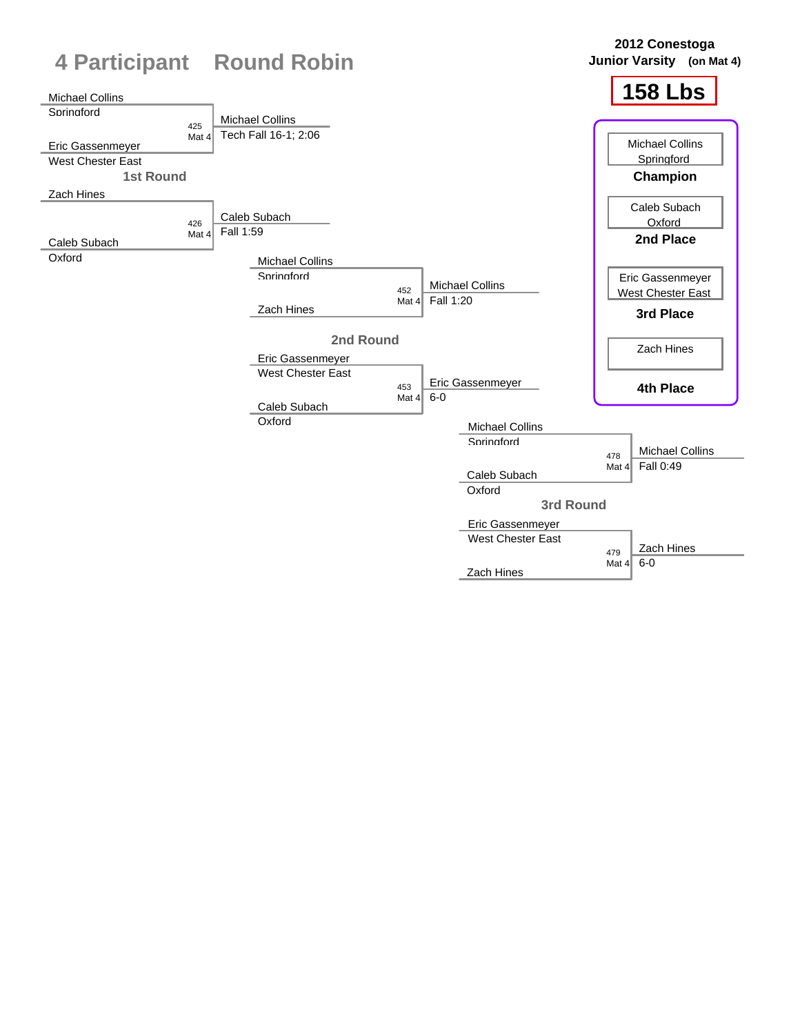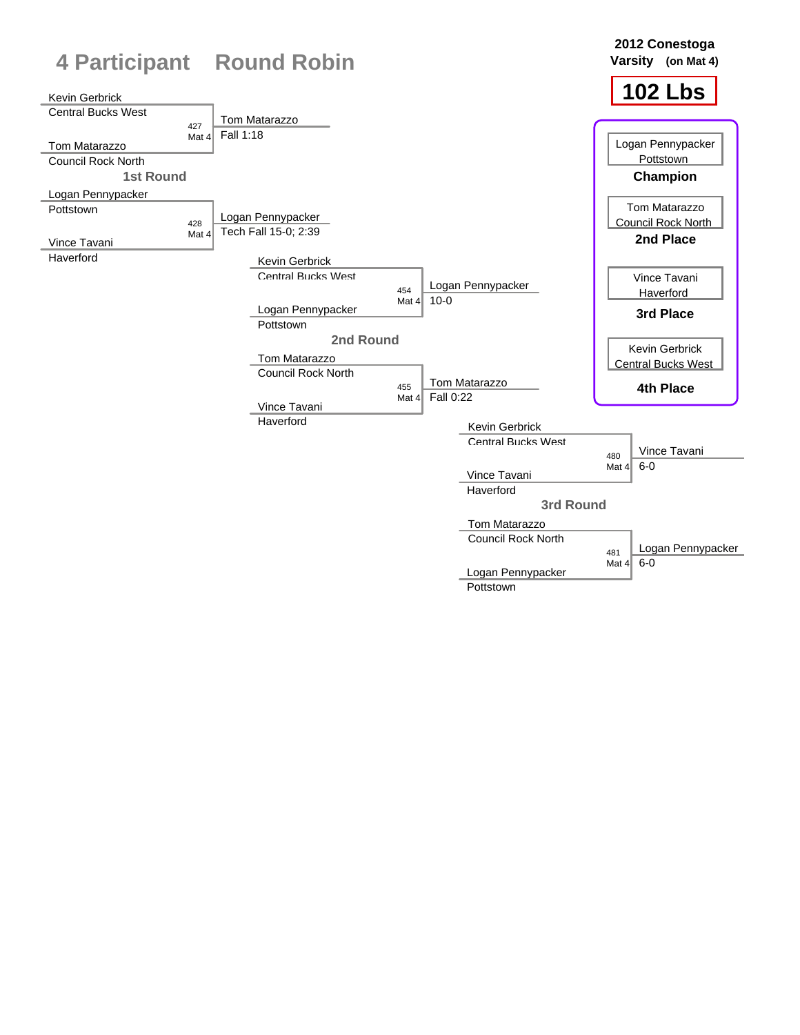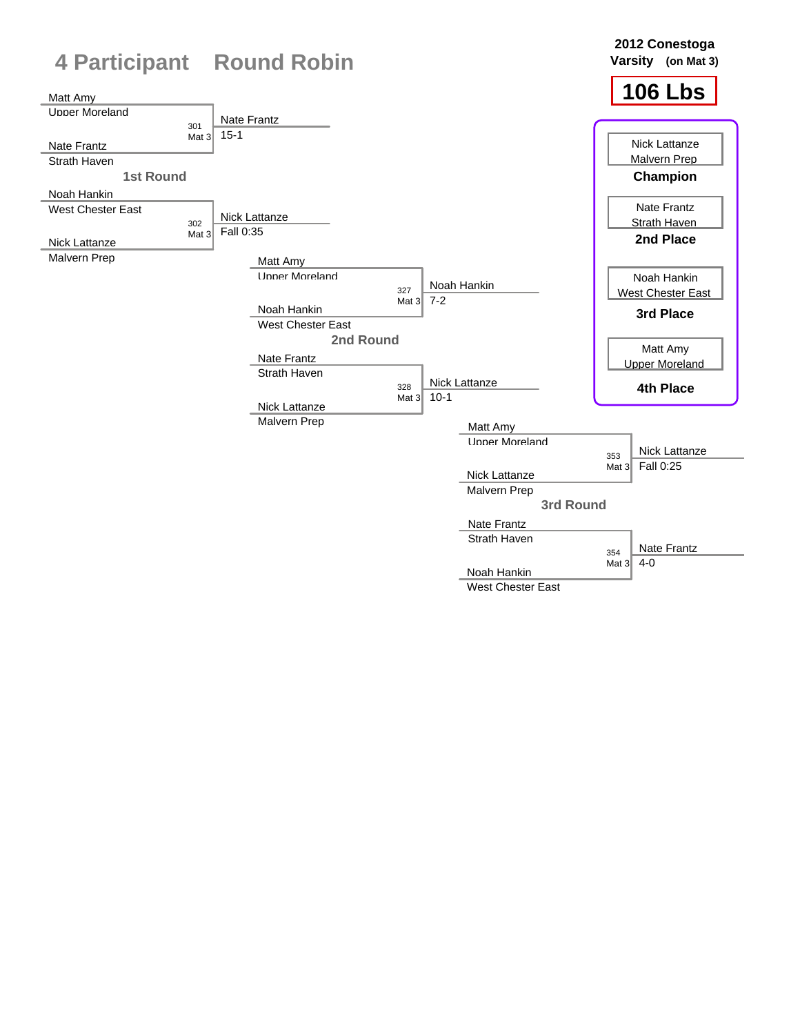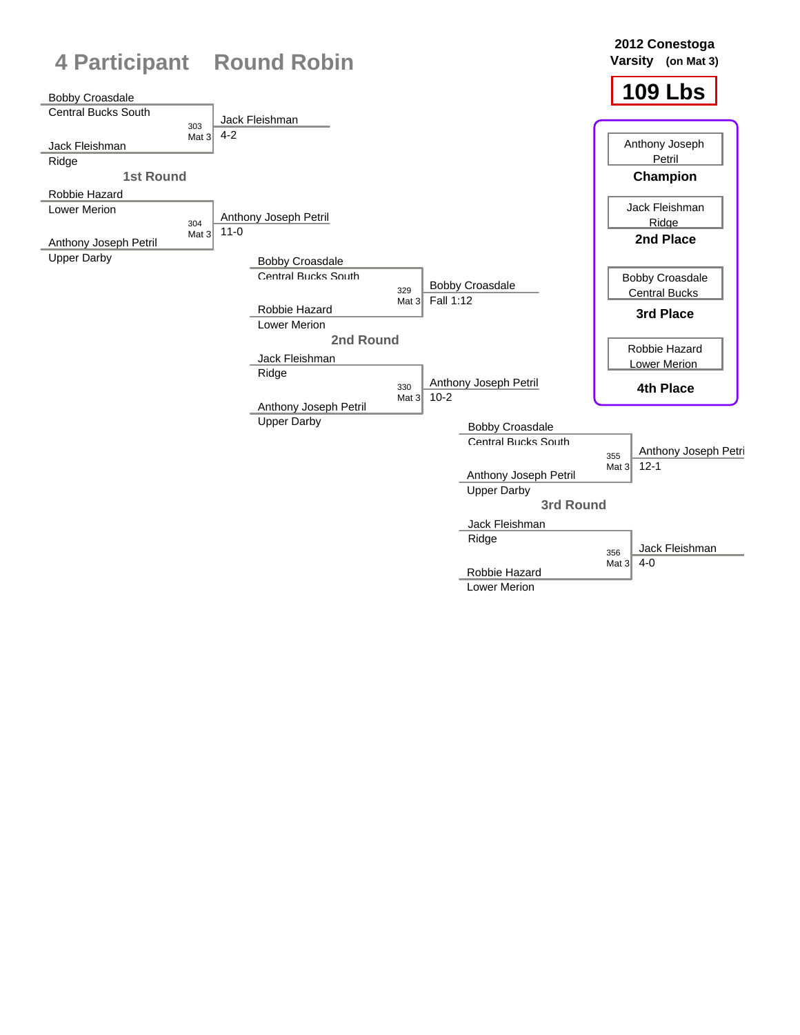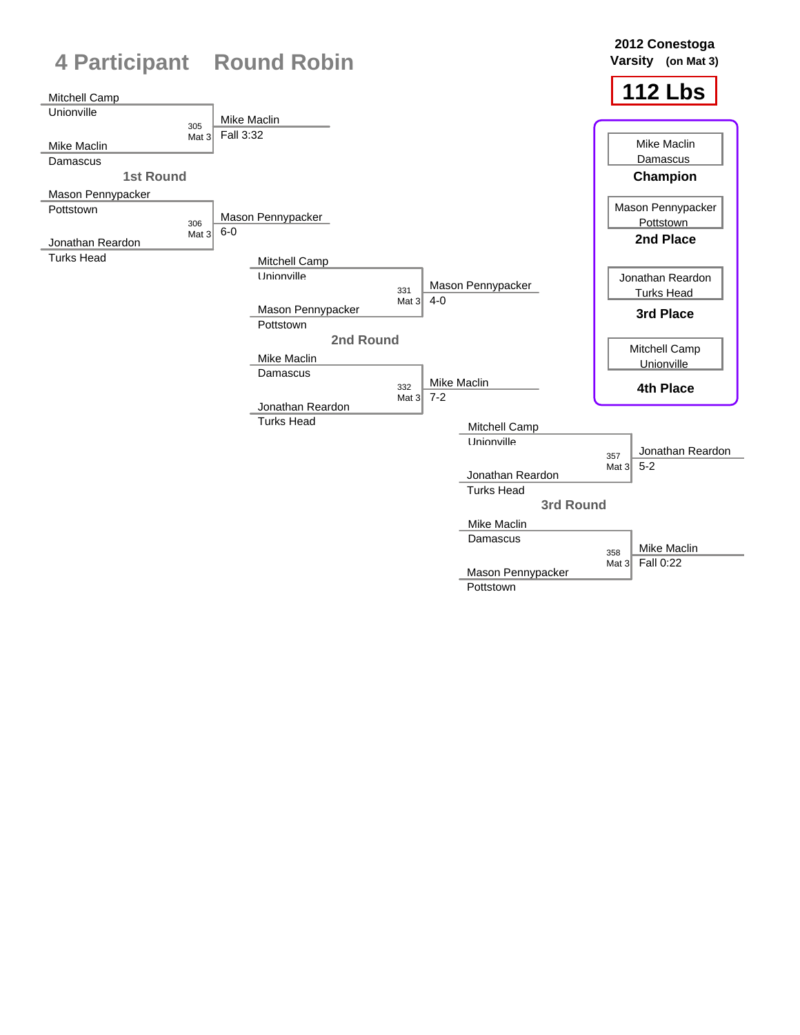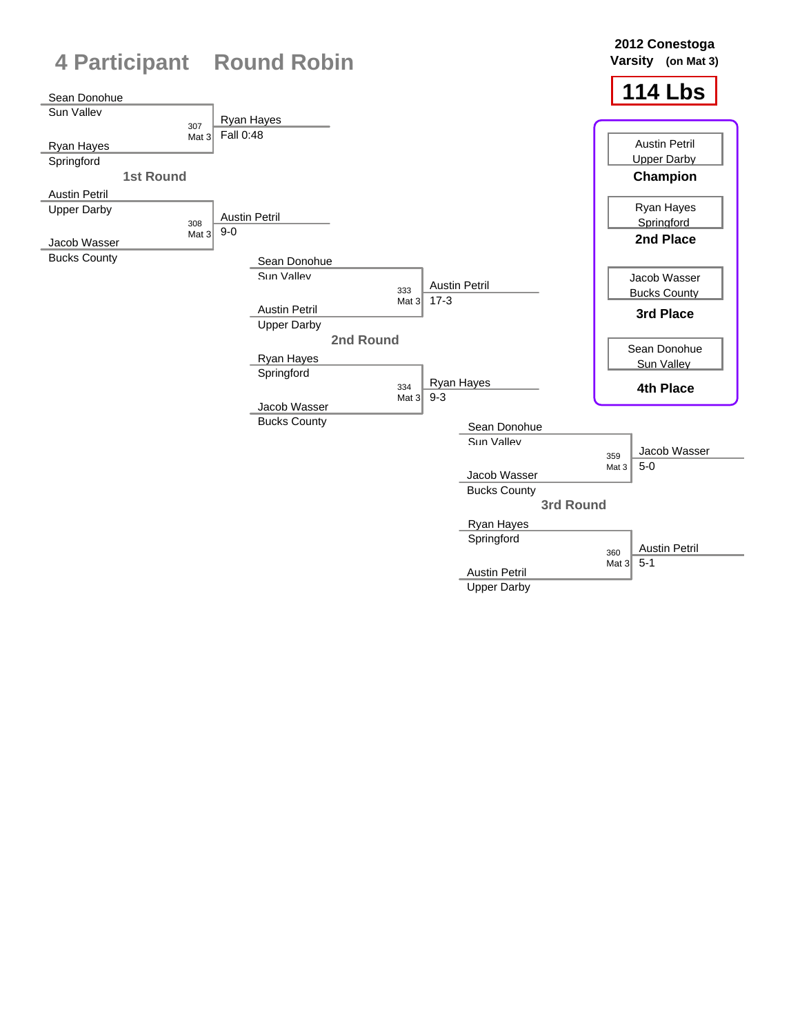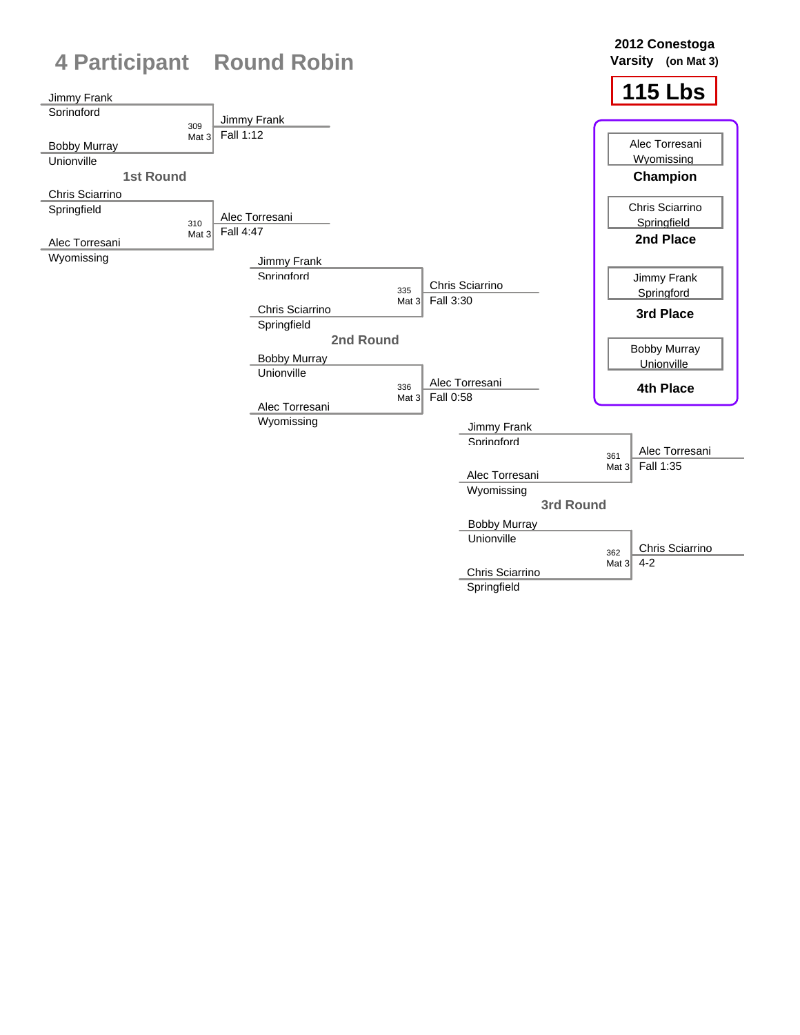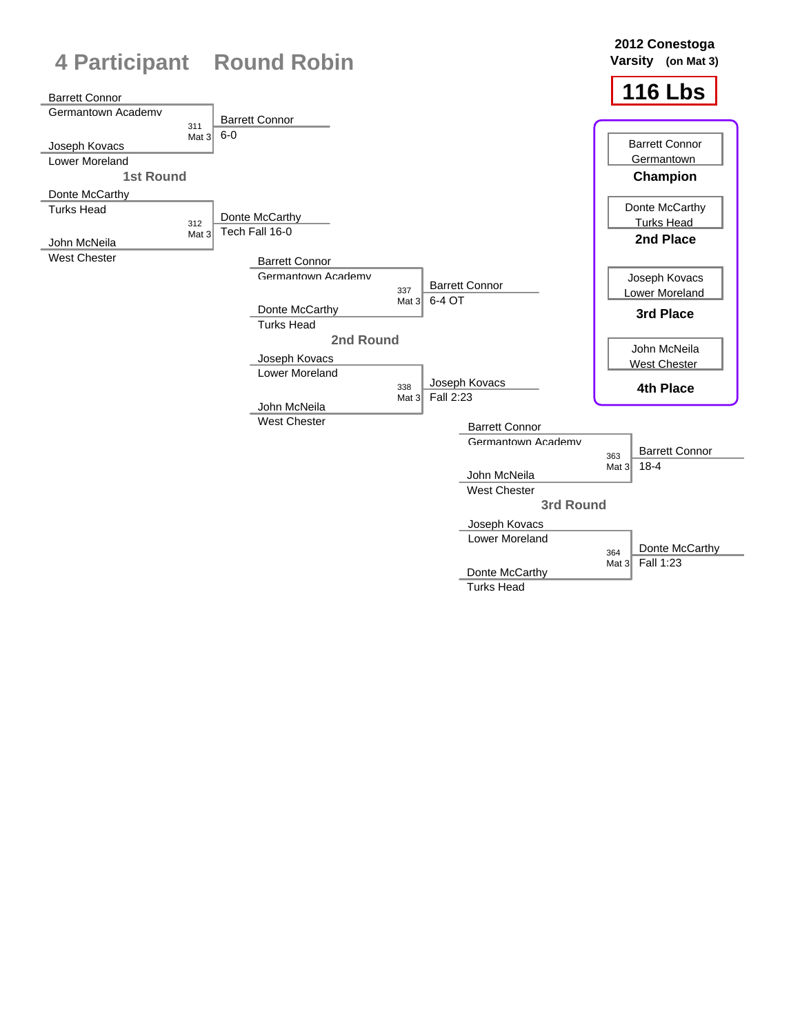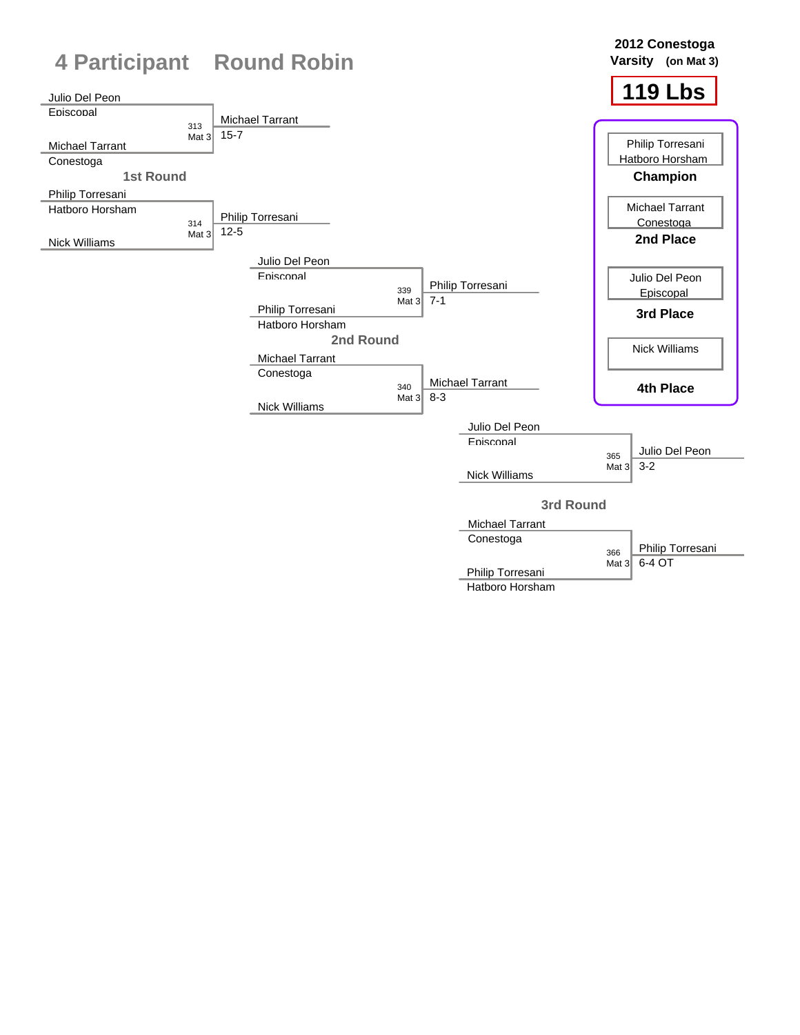

Hatboro Horsham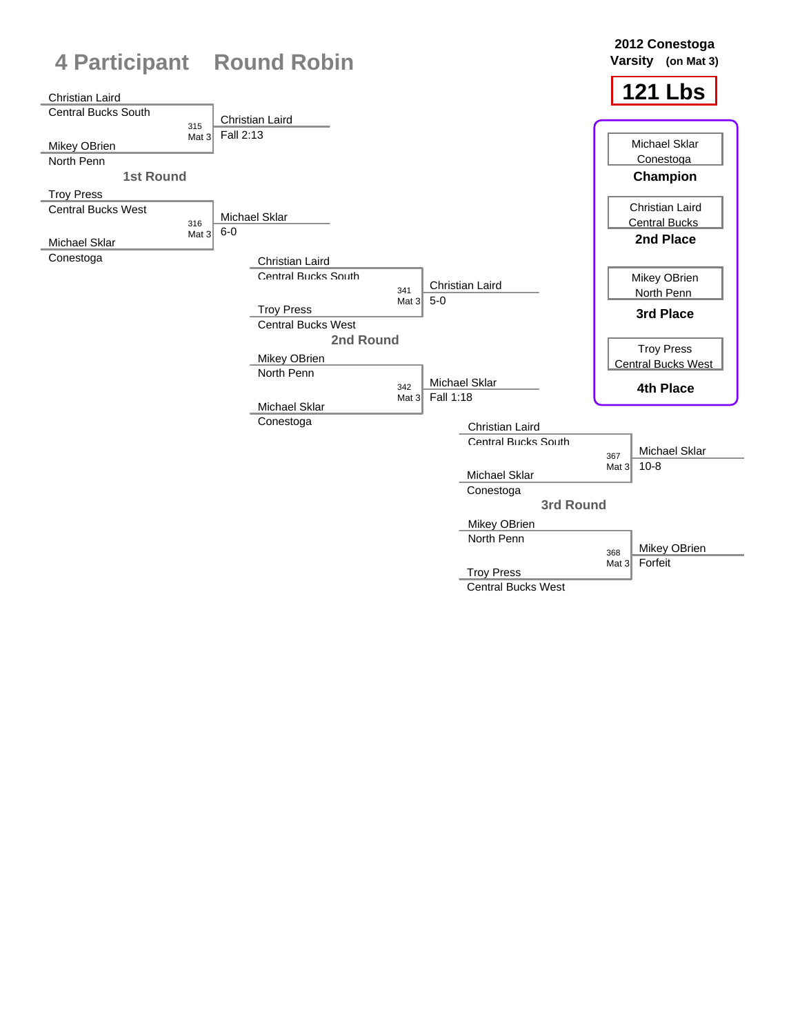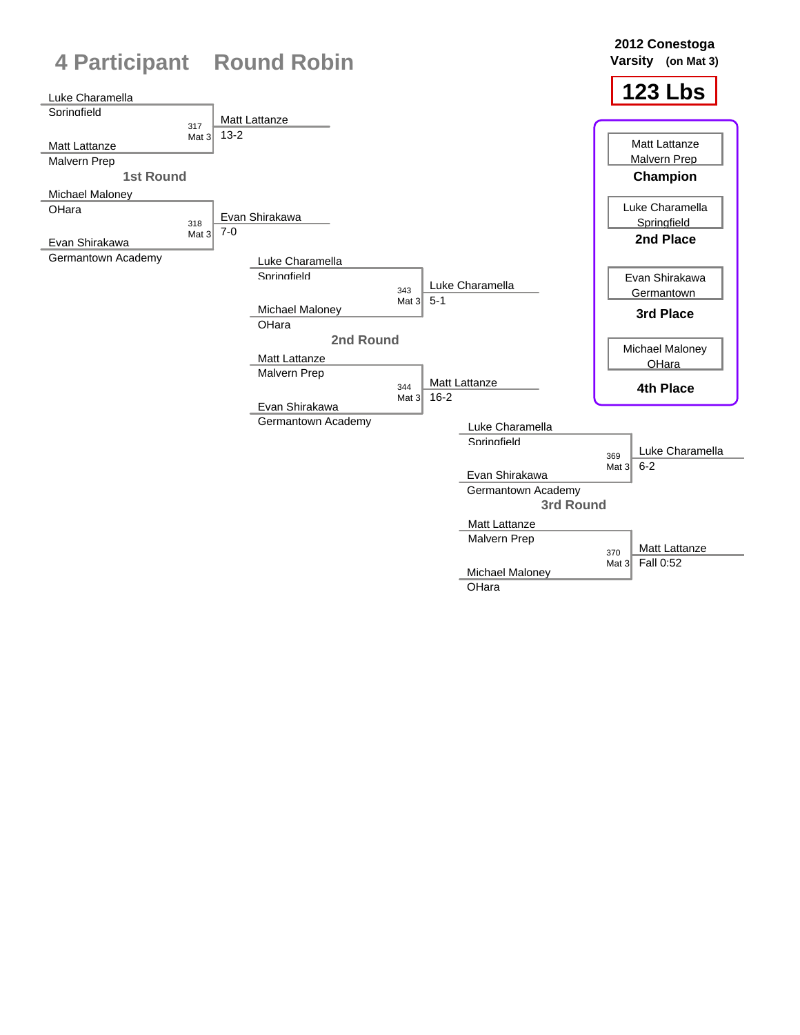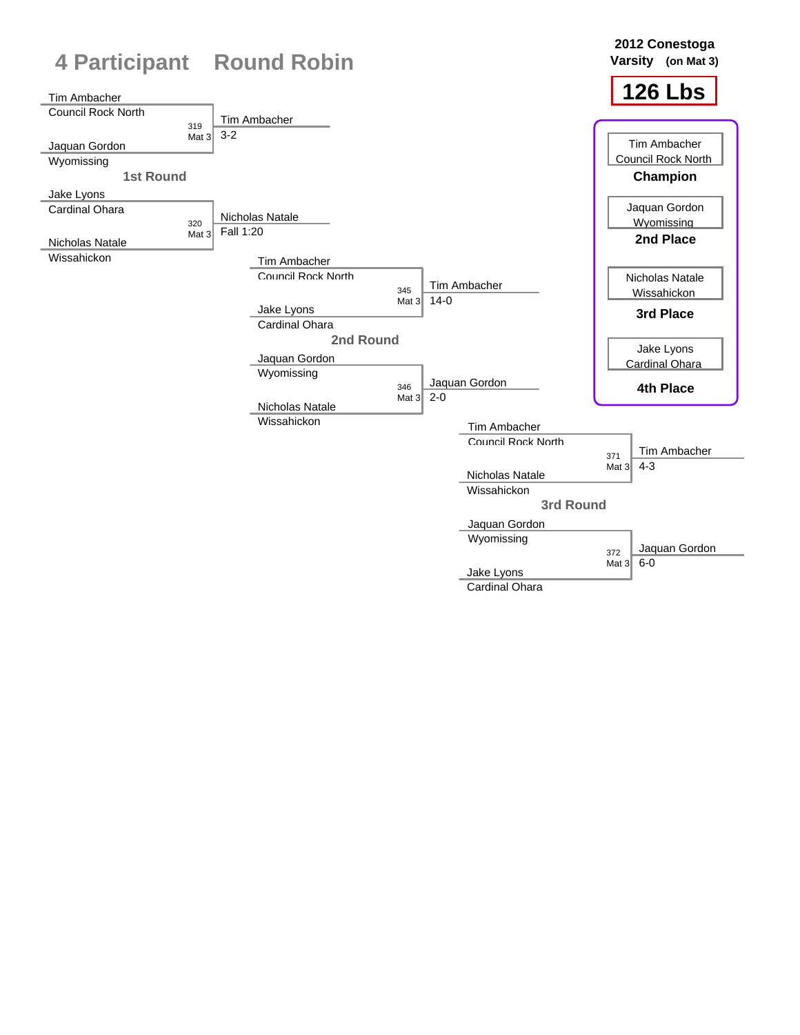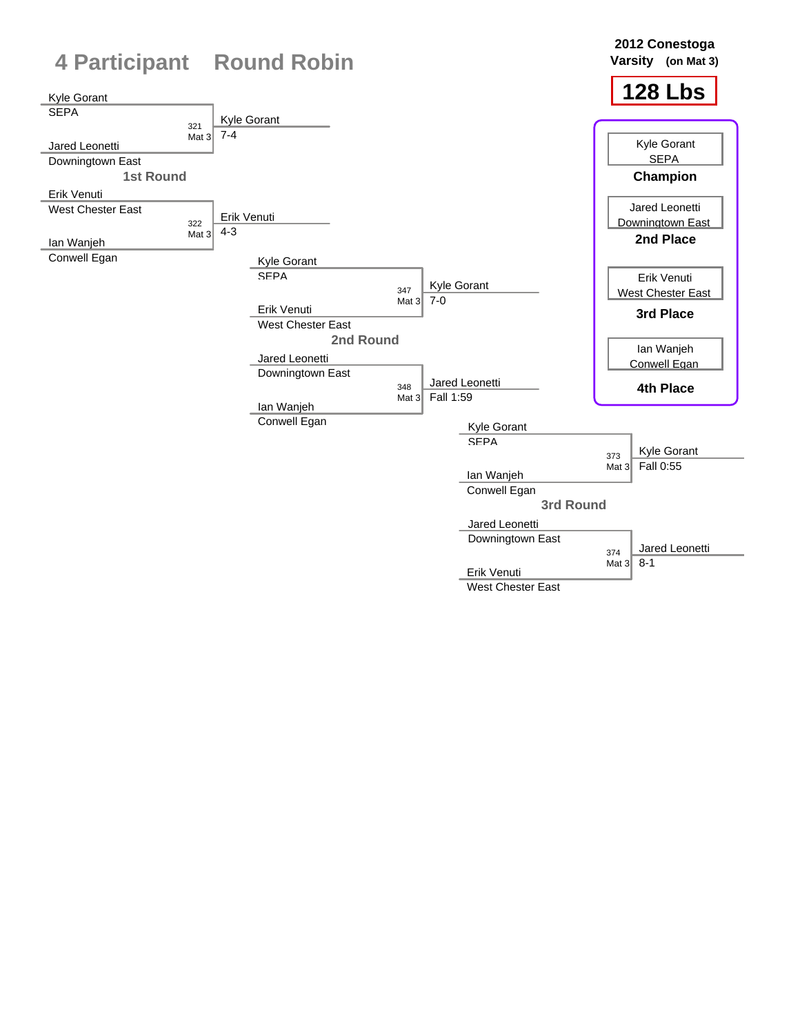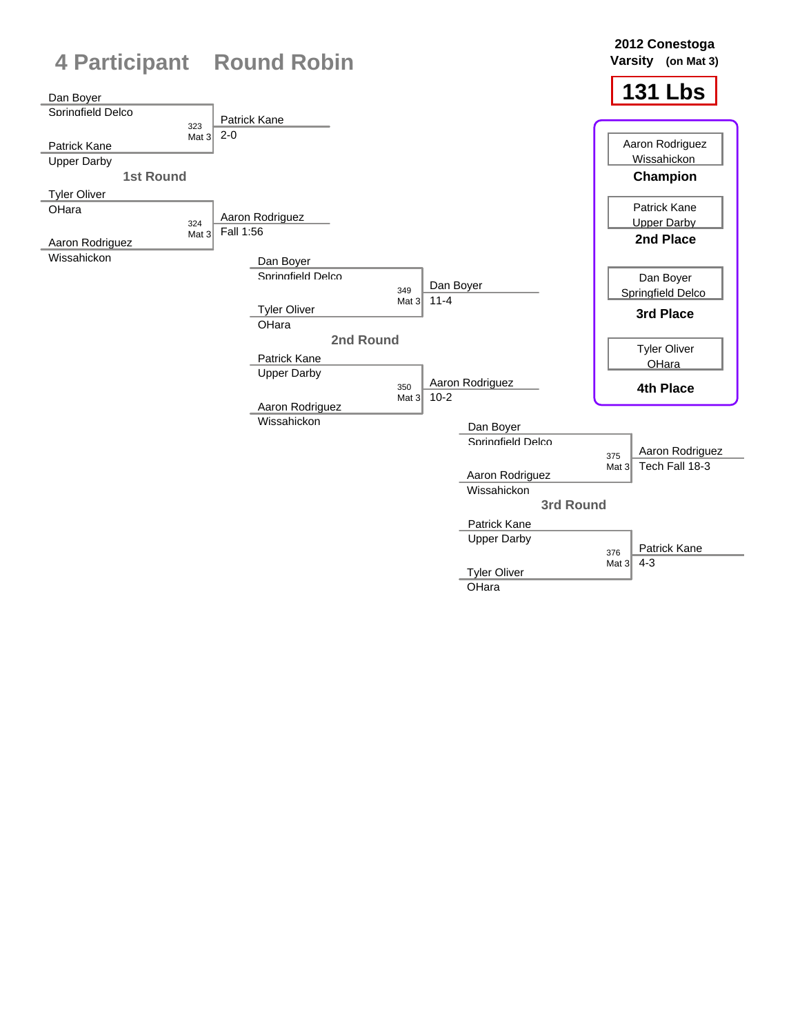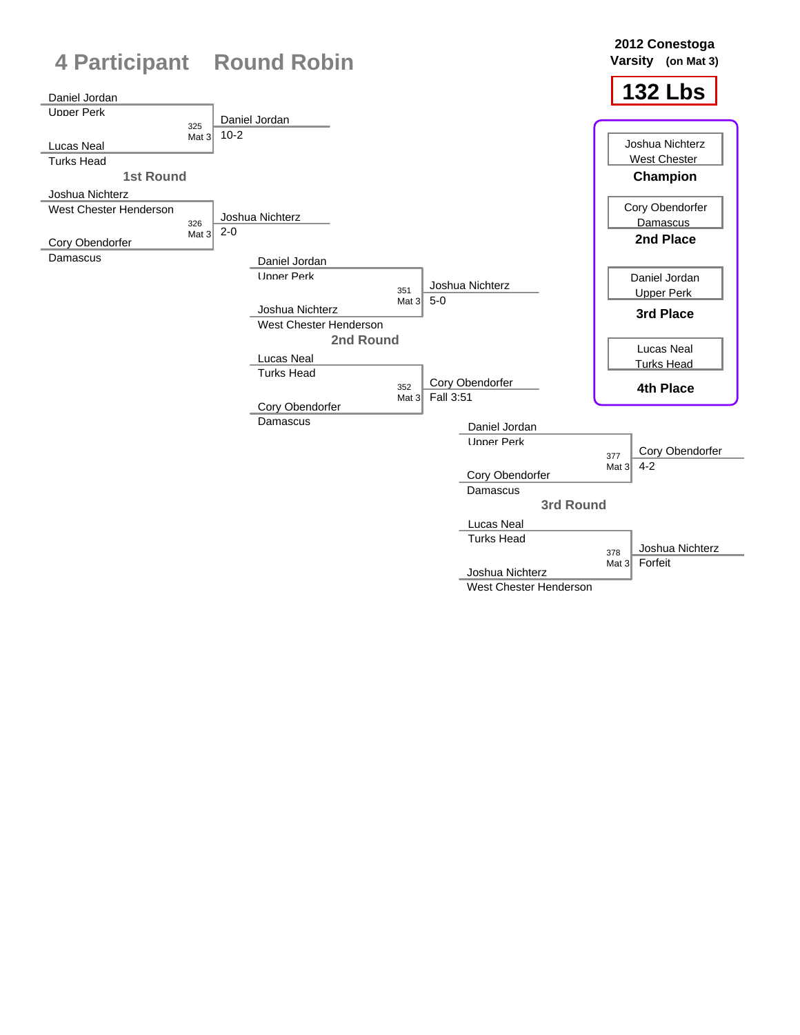

West Chester Henderson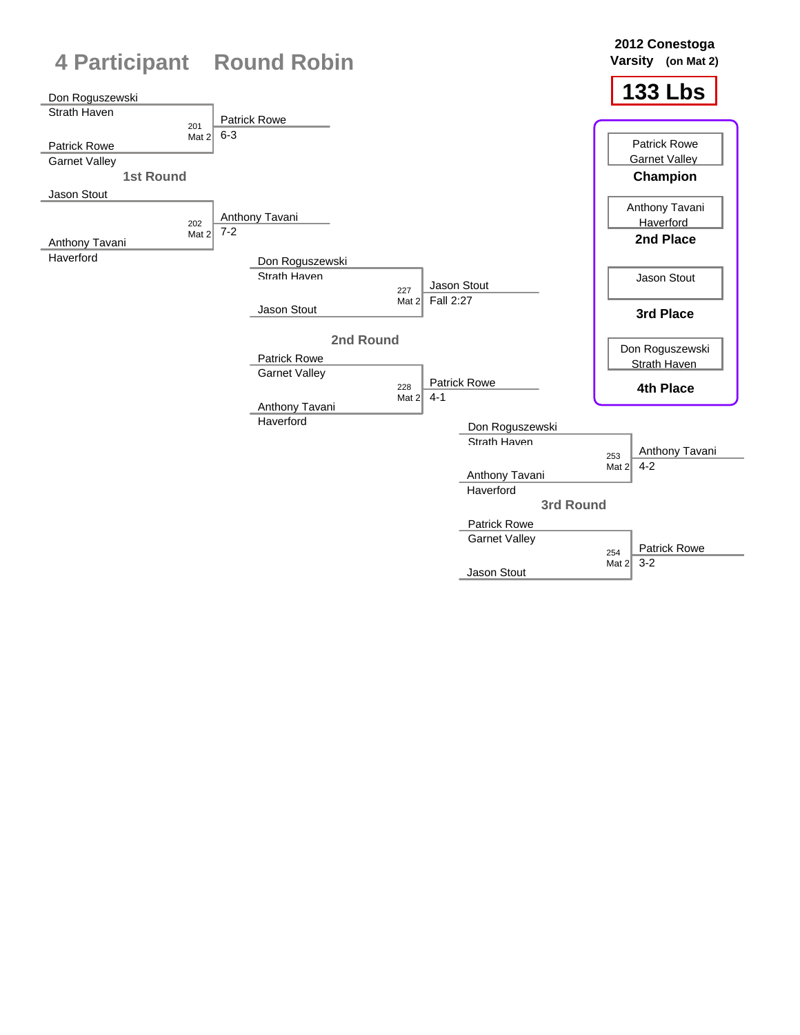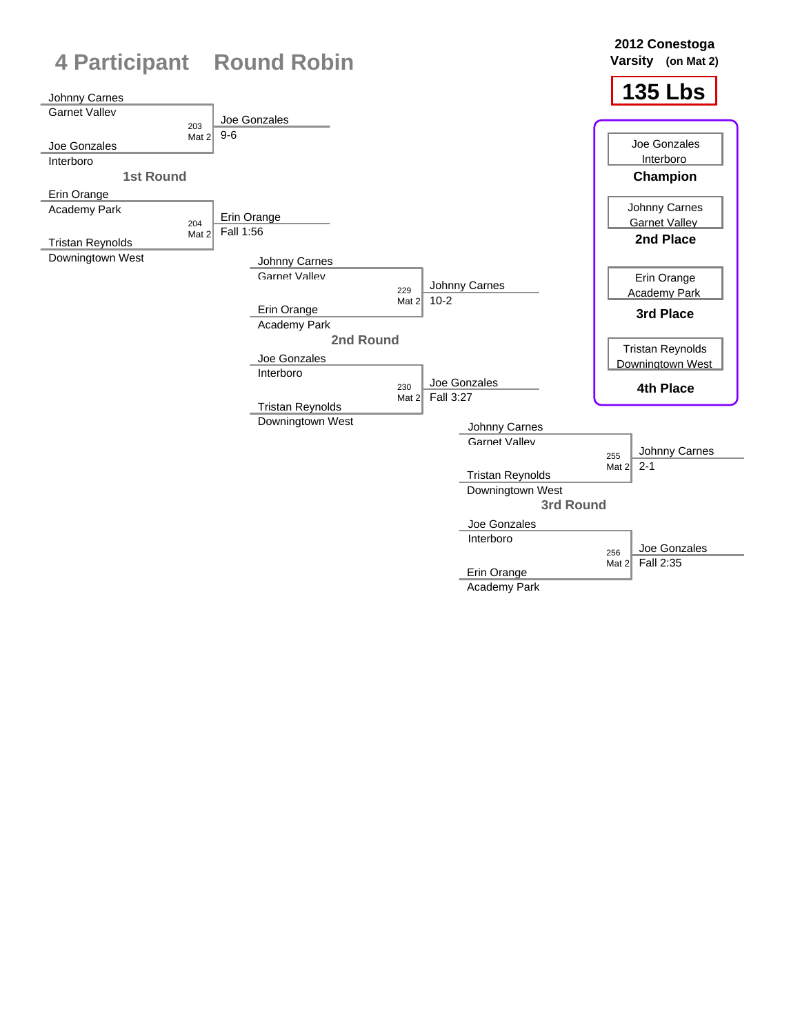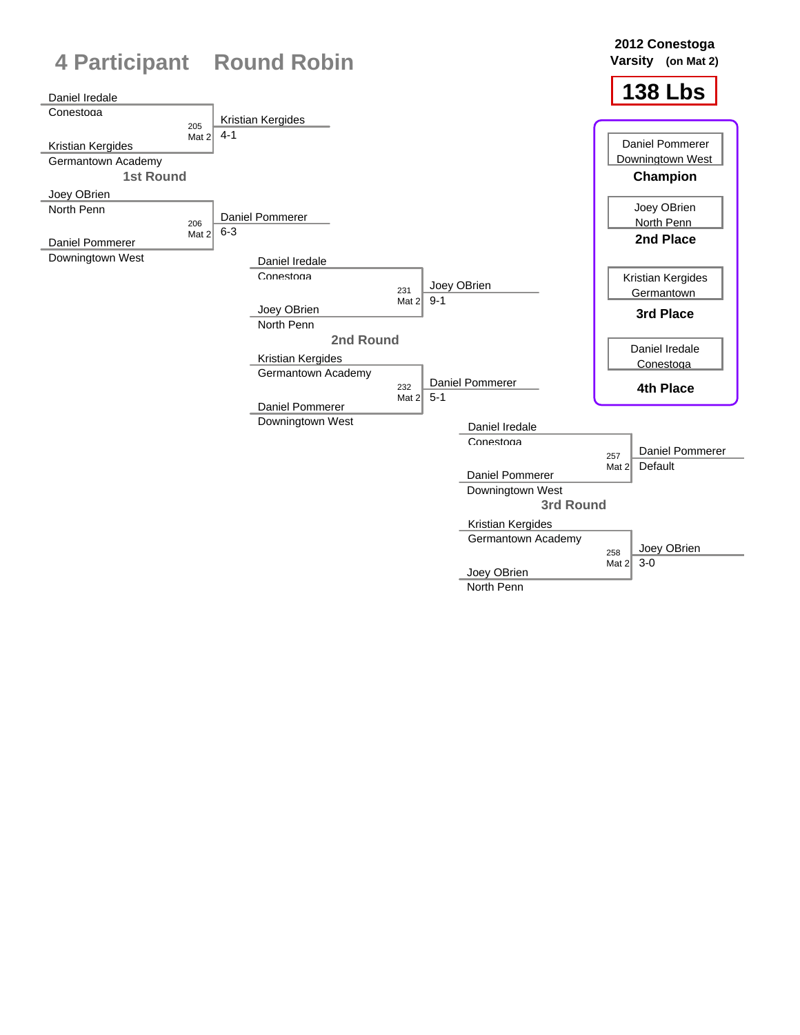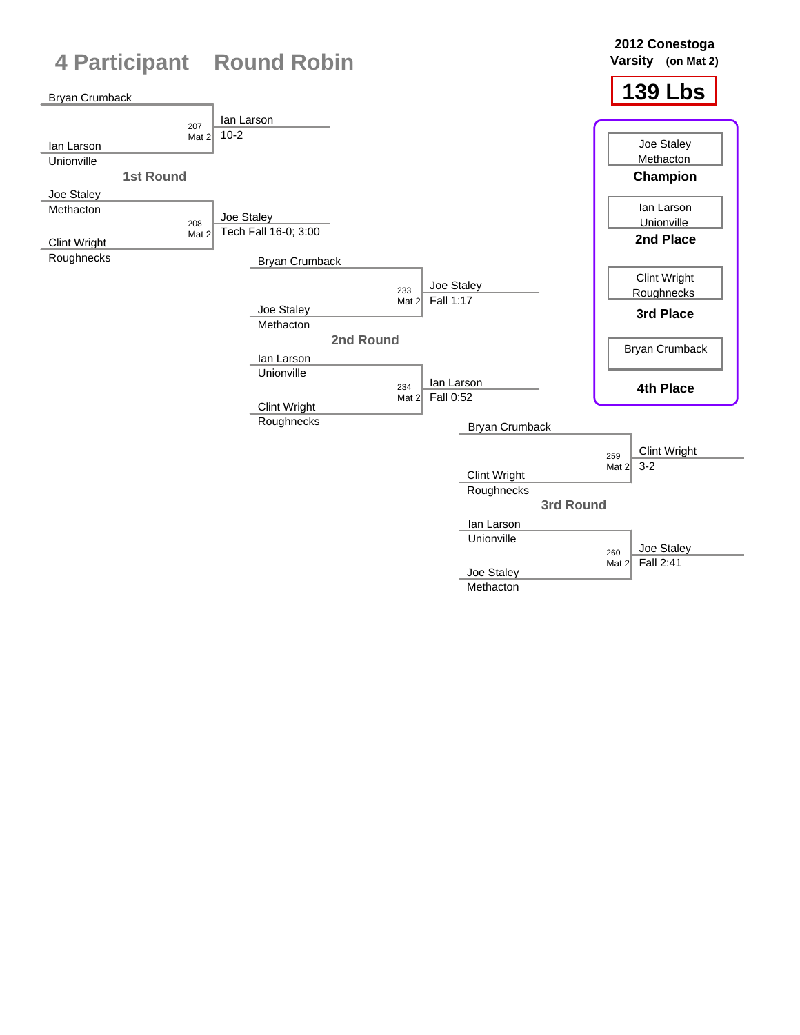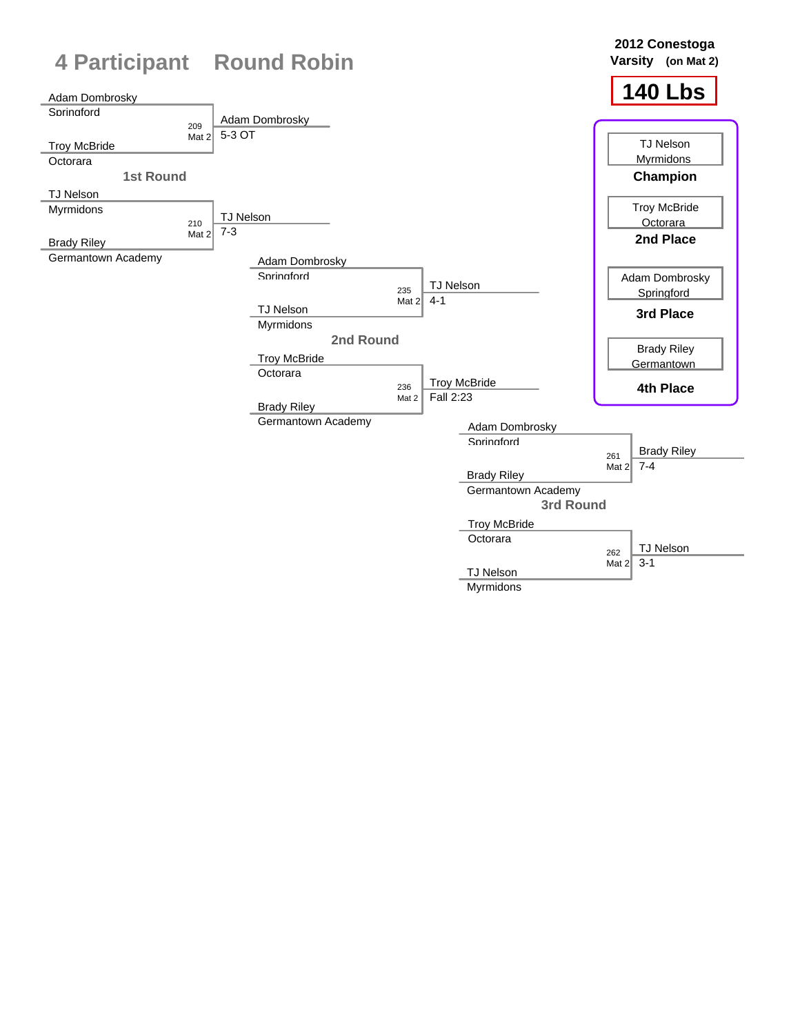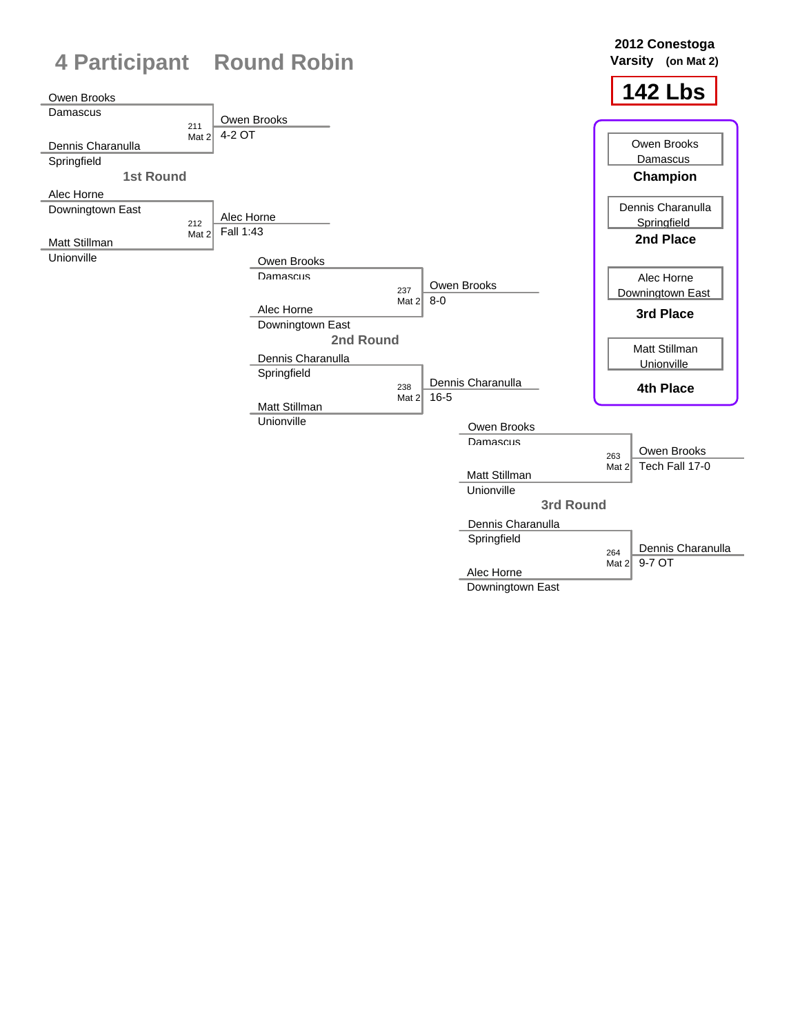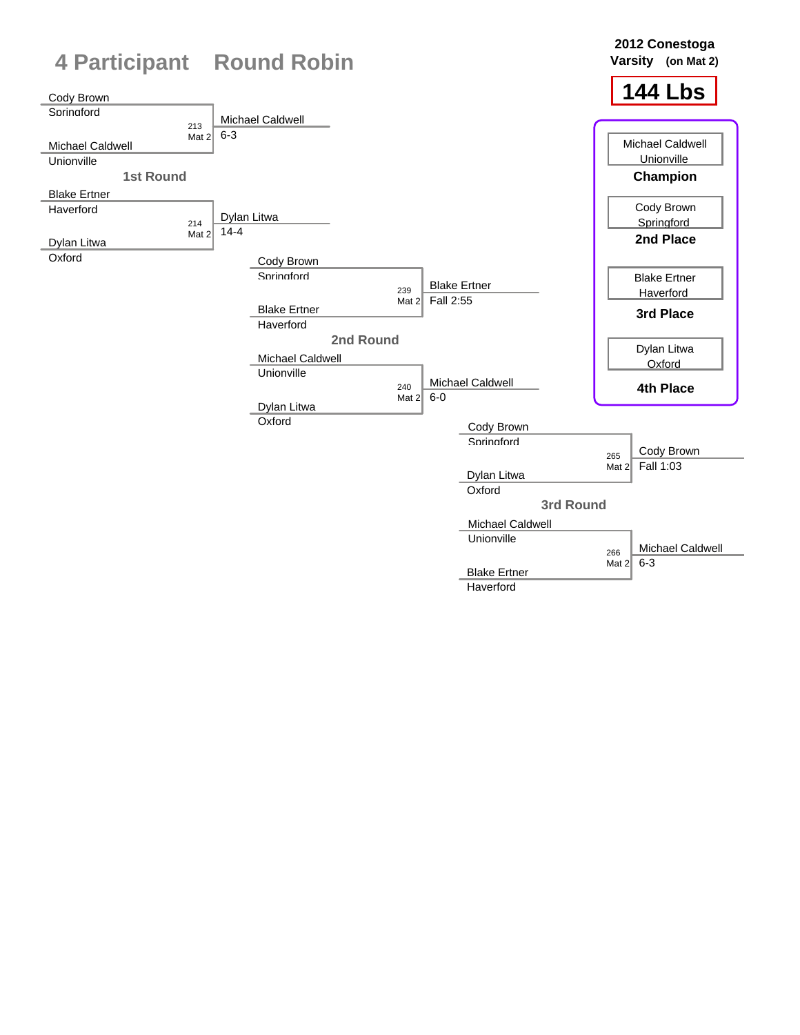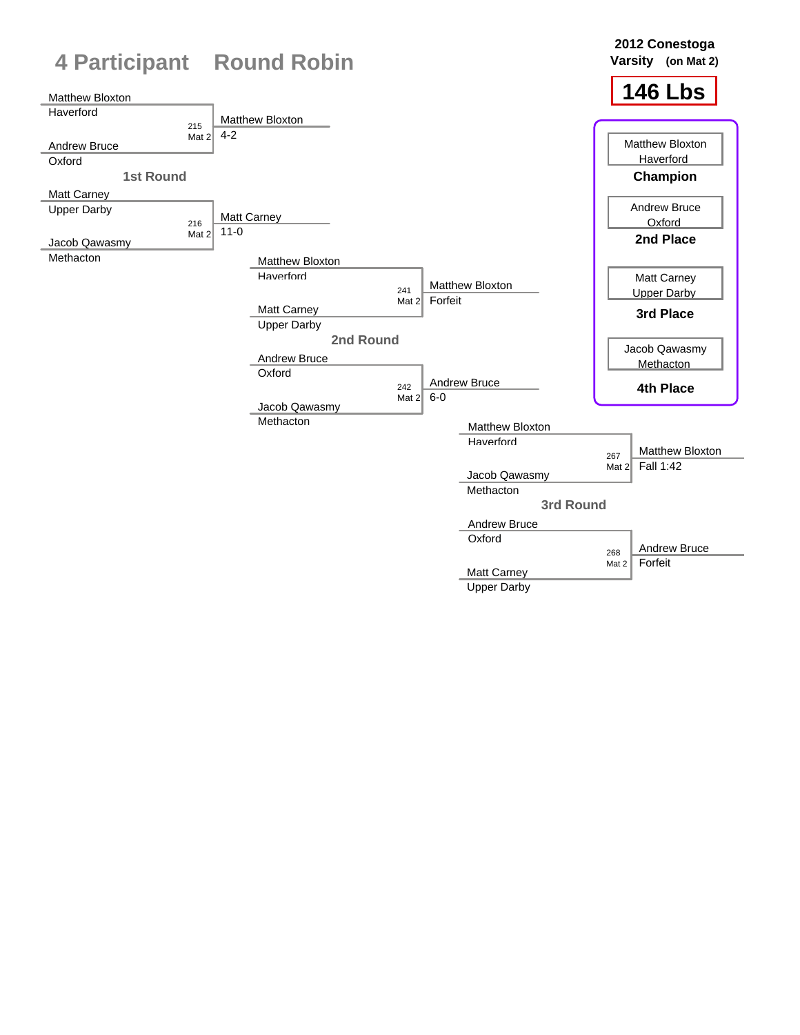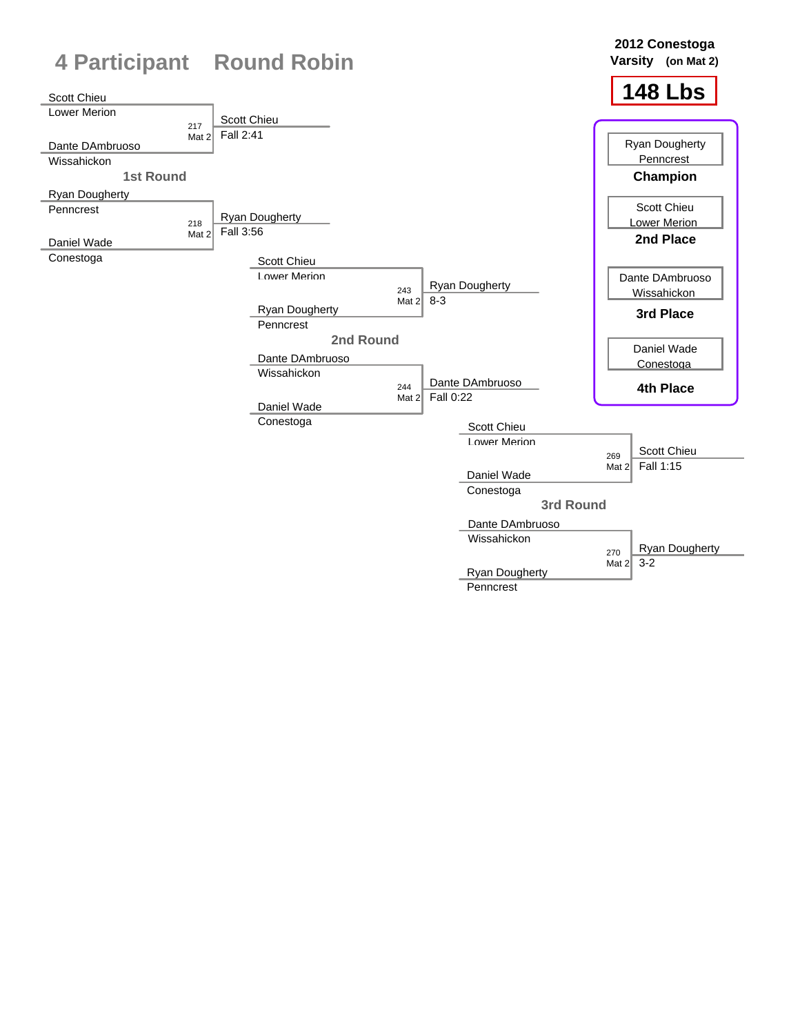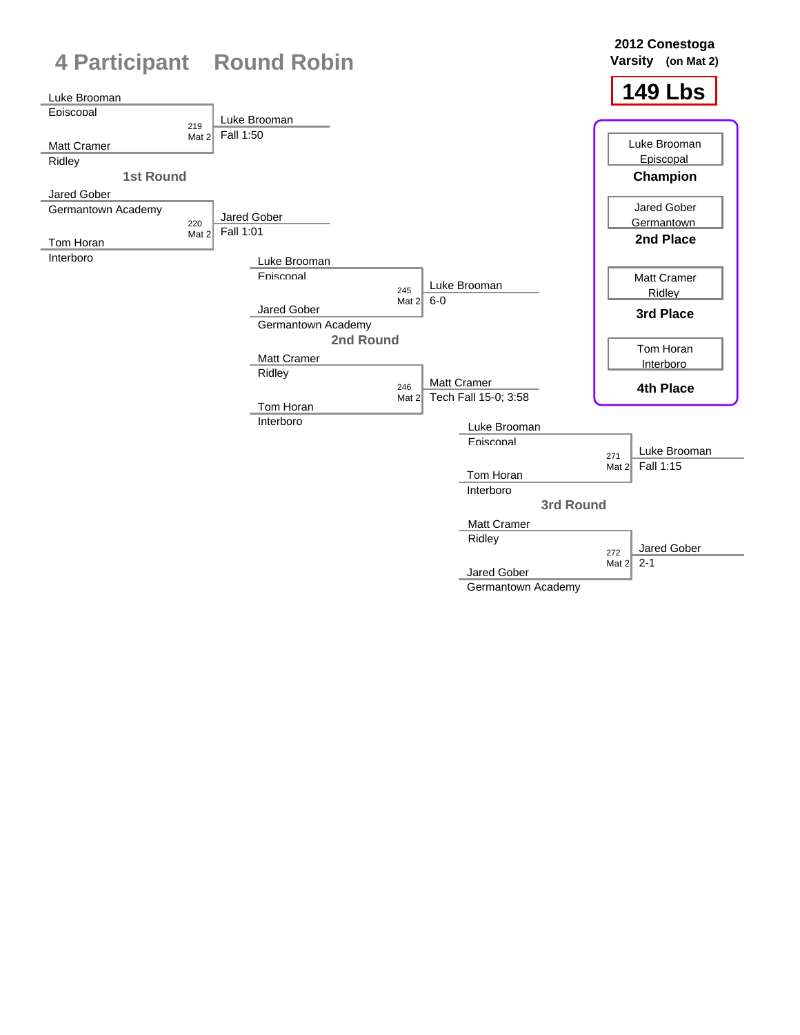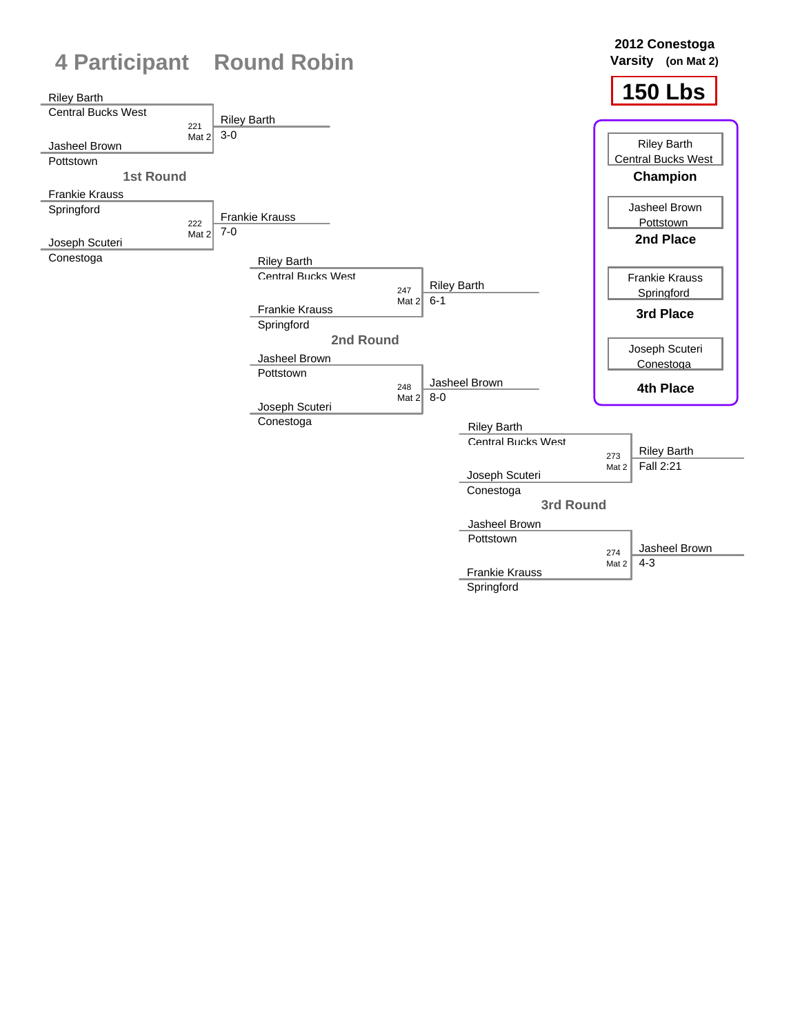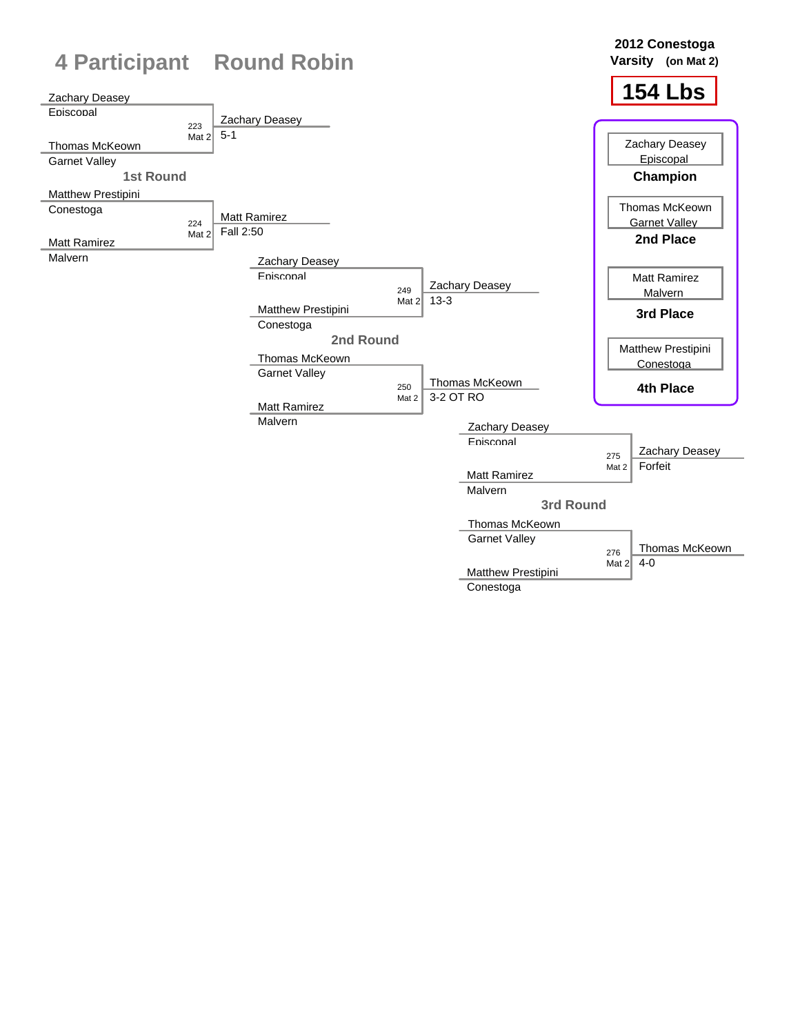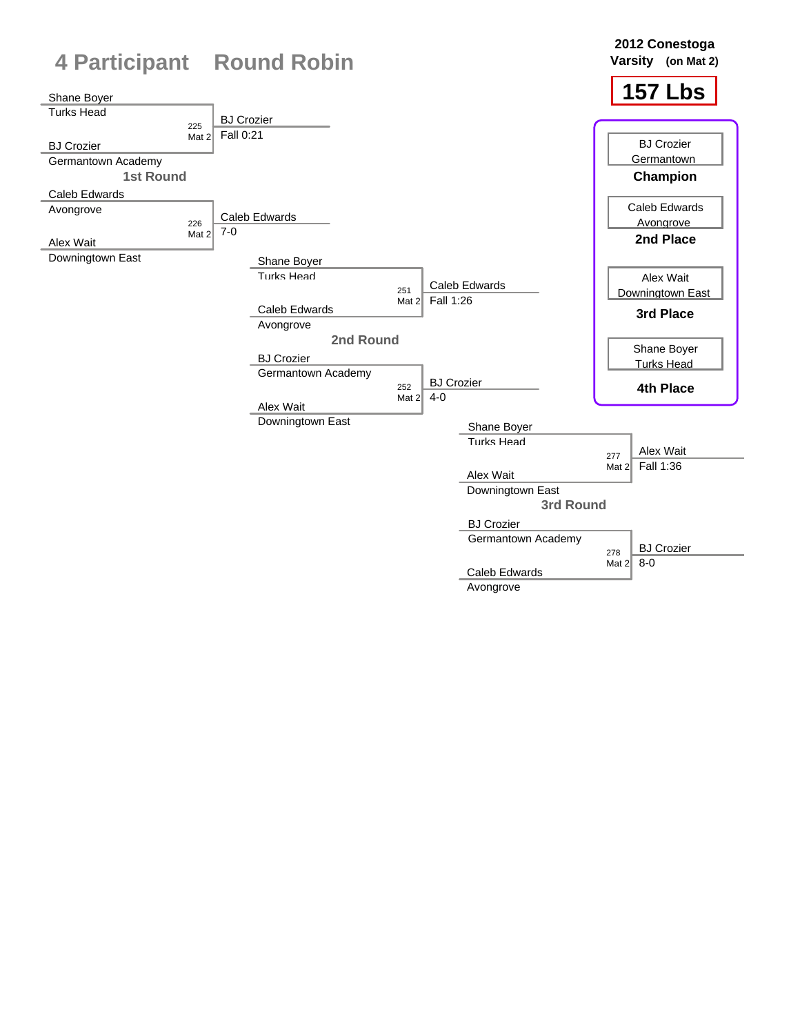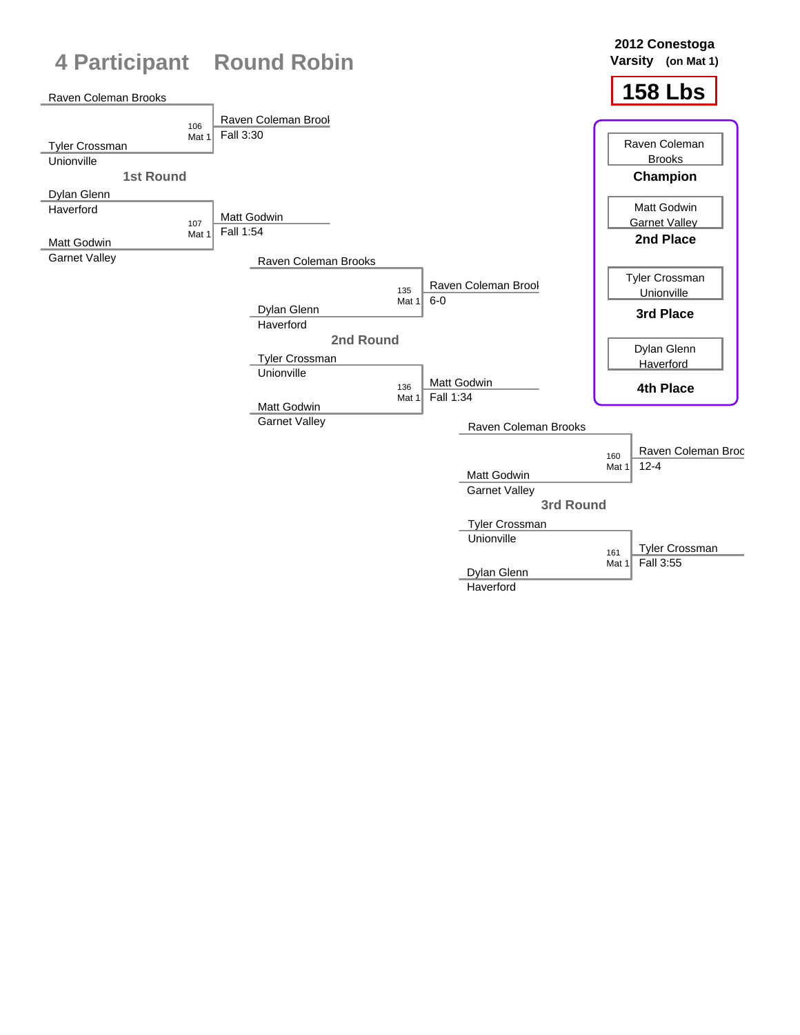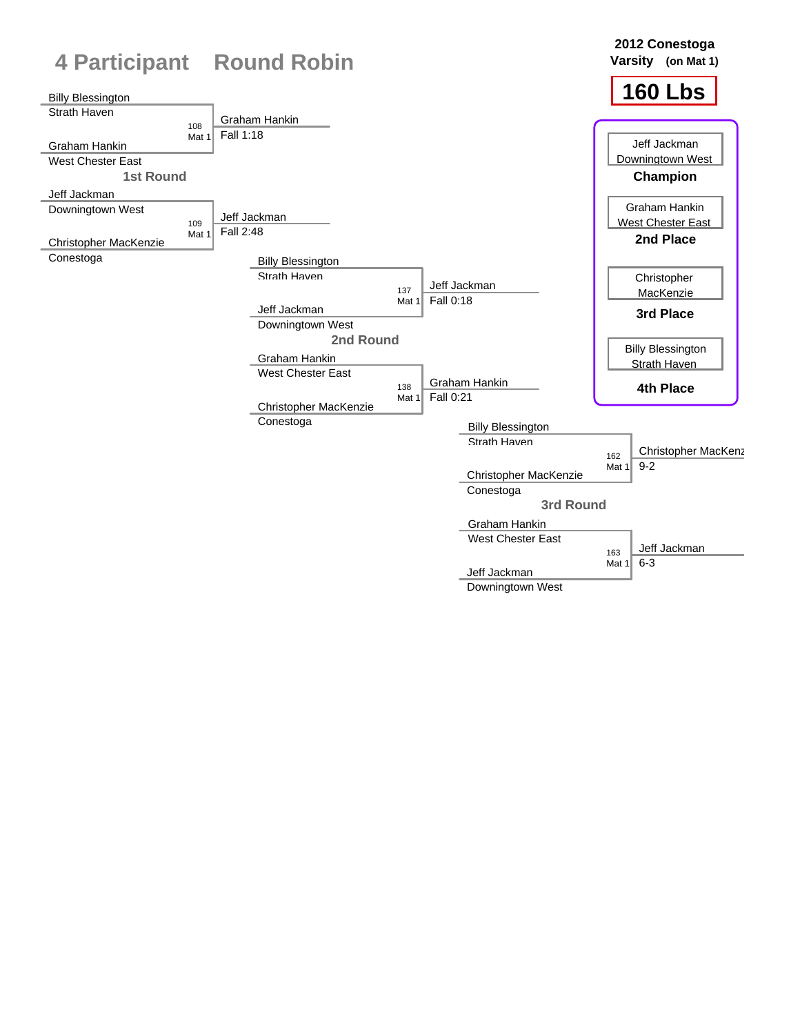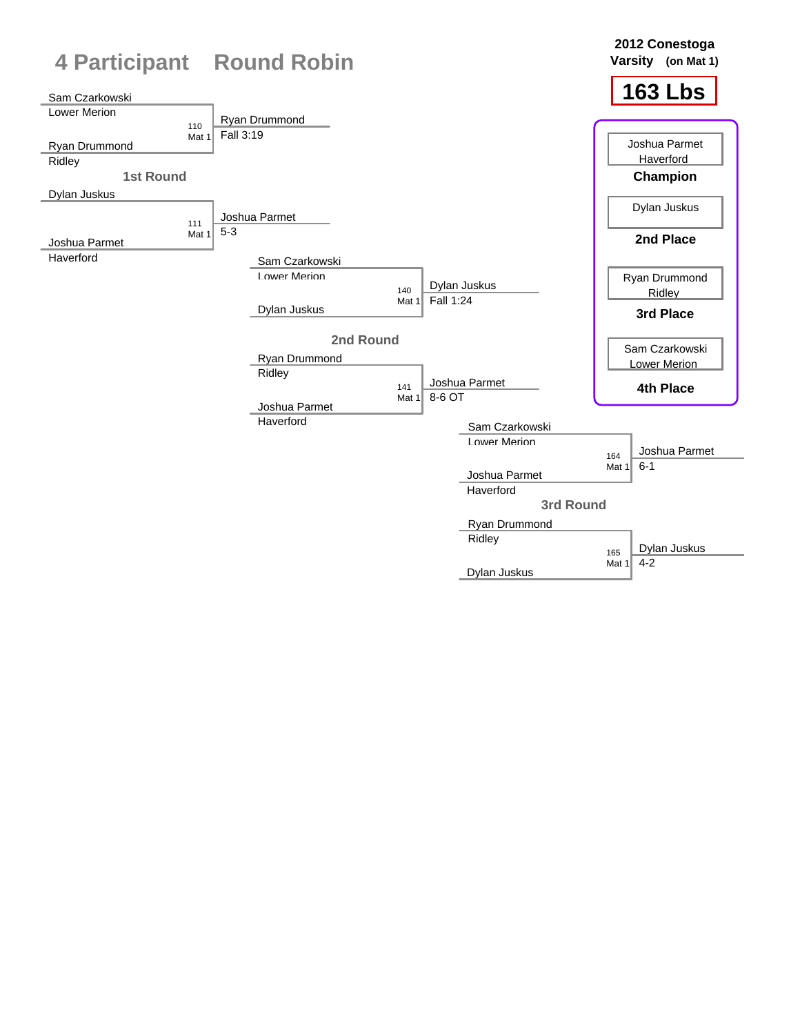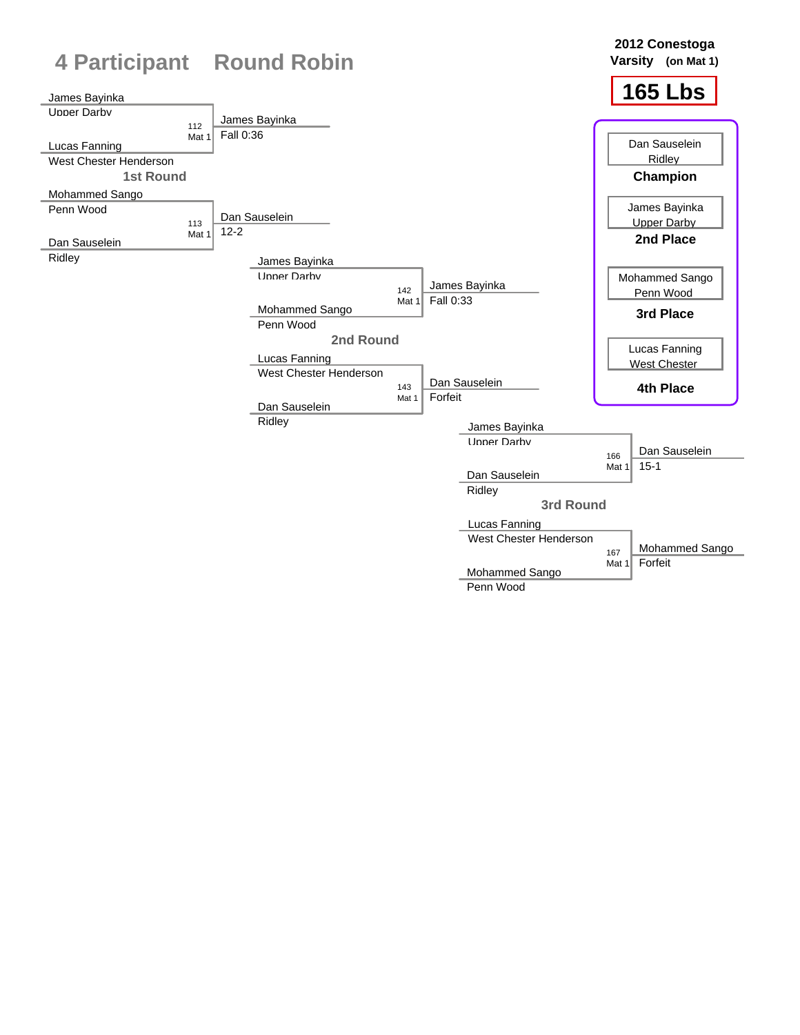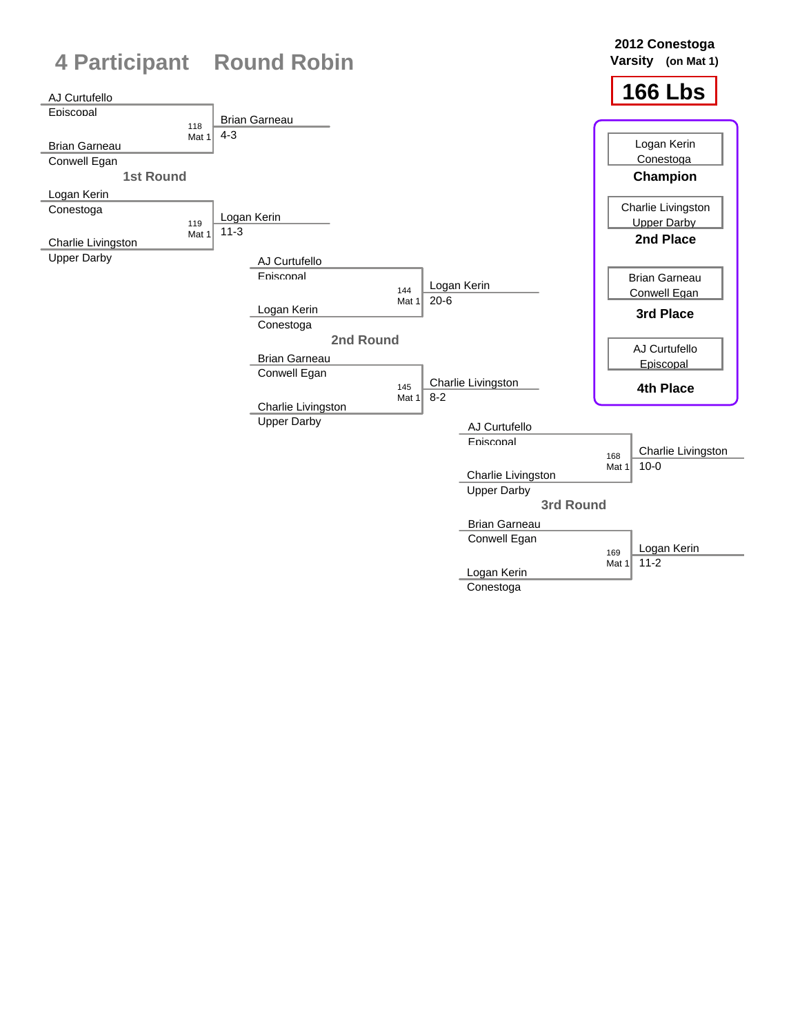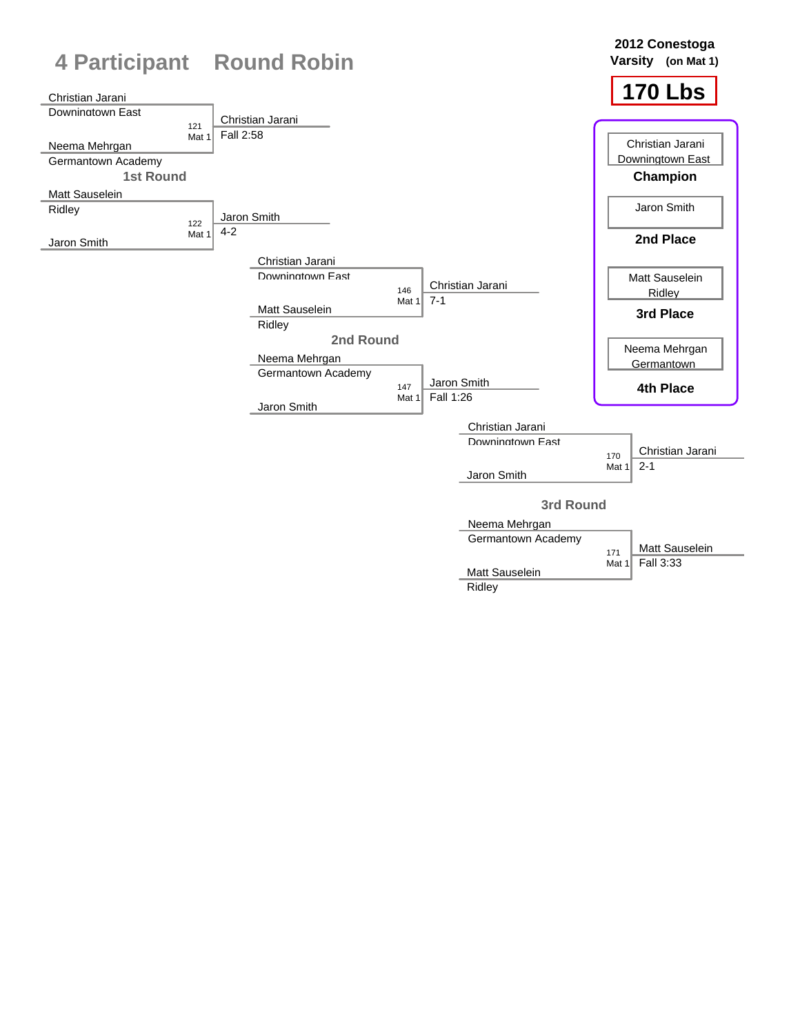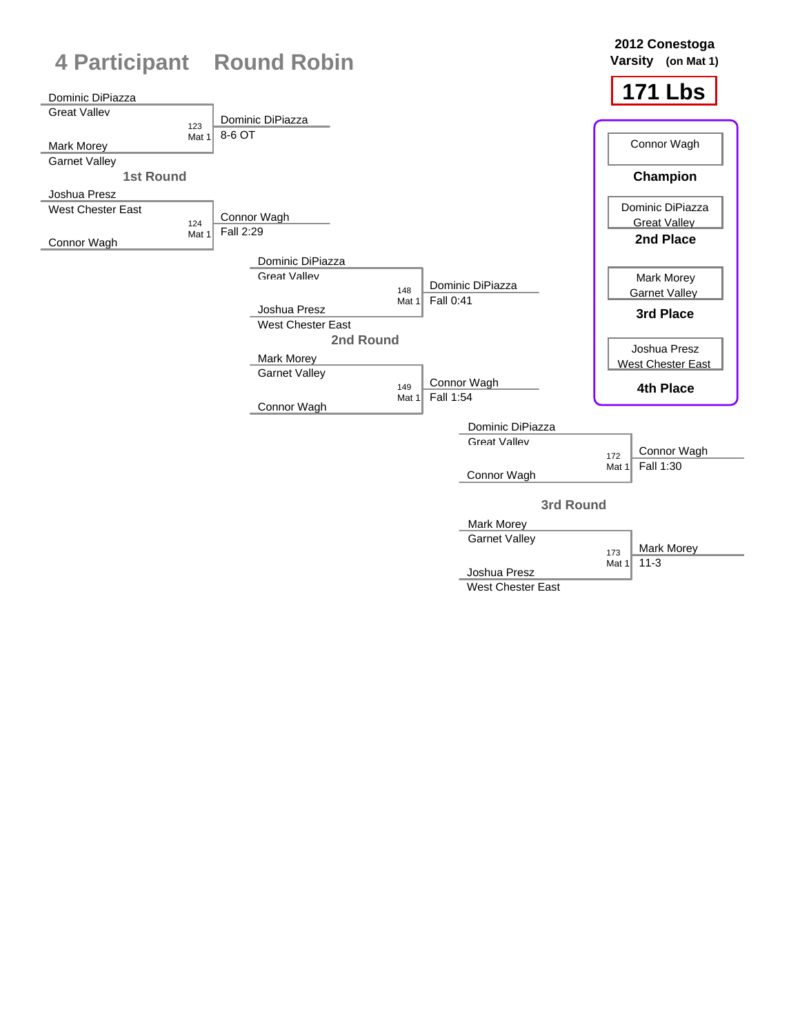

West Chester East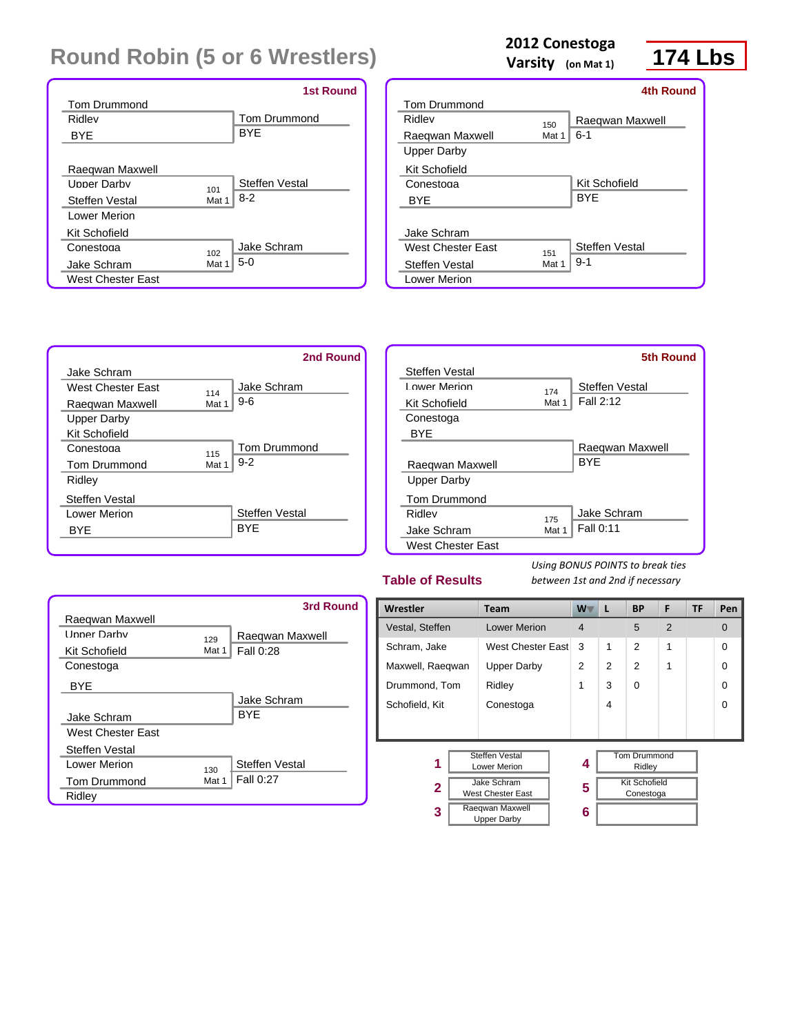|                            | <b>1st Round</b>    |
|----------------------------|---------------------|
| <b>Tom Drummond</b>        |                     |
| Ridley                     | <b>Tom Drummond</b> |
| <b>BYF</b>                 | <b>BYF</b>          |
|                            |                     |
| Raeqwan Maxwell            |                     |
| <b>Linner Darhy</b><br>101 | Steffen Vestal      |
| Steffen Vestal<br>Mat 1    | $8-2$               |
| Lower Merion               |                     |
| Kit Schofield              |                     |
| Conestoga<br>102           | Jake Schram         |
| Jake Schram<br>Mat 1       | $5-0$               |
| <b>West Chester East</b>   |                     |

## **2012 Conestoga**

**Varsity (on Mat 1)**

## **174 Lbs**

|                     |       | 4th Round       |
|---------------------|-------|-----------------|
| <b>Tom Drummond</b> |       |                 |
| Ridley              | 150   | Raegwan Maxwell |
| Raeqwan Maxwell     | Mat 1 | $6 - 1$         |
| Upper Darby         |       |                 |
| Kit Schofield       |       |                 |
| Conestoga           |       | Kit Schofield   |
| <b>BYE</b>          |       | <b>BYF</b>      |
|                     |       |                 |
| Jake Schram         |       |                 |
| West Chester Fast   | 151   | Steffen Vestal  |
| Steffen Vestal      | Mat 1 | $9 - 1$         |
| Lower Merion        |       |                 |



|                     |       | 5th Round       |
|---------------------|-------|-----------------|
| Steffen Vestal      |       |                 |
| Lower Merion        | 174   | Steffen Vestal  |
| Kit Schofield       | Mat 1 | Fall 2:12       |
| Conestoga           |       |                 |
| <b>BYE</b>          |       |                 |
|                     |       | Raegwan Maxwell |
| Raegwan Maxwell     |       | <b>BYF</b>      |
| Upper Darby         |       |                 |
| <b>Tom Drummond</b> |       |                 |
| Ridley              | 175   | Jake Schram     |
| Jake Schram         | Mat 1 | Fall 0:11       |
| West Chester East   |       |                 |

#### **Table of Results**

|                     |       | 3rd Round       |
|---------------------|-------|-----------------|
| Raegwan Maxwell     |       |                 |
| <b>Linner Darby</b> | 129   | Raeqwan Maxwell |
| Kit Schofield       | Mat 1 | Fall 0:28       |
| Conestoga           |       |                 |
| BYE                 |       |                 |
|                     |       | Jake Schram     |
| Jake Schram         |       | <b>BYF</b>      |
| West Chester Fast   |       |                 |
| Steffen Vestal      |       |                 |
| Lower Merion        | 130   | Steffen Vestal  |
| <b>Tom Drummond</b> | Mat 1 | Fall 0:27       |
| Ridley              |       |                 |

| Wrestler                                   | <b>Team</b>                           | $W^-$          | L | <b>BP</b>                         | F | TF | Pen      |
|--------------------------------------------|---------------------------------------|----------------|---|-----------------------------------|---|----|----------|
| Vestal, Steffen                            | <b>Lower Merion</b>                   | $\overline{4}$ |   | 5                                 | 2 |    | $\Omega$ |
| Schram, Jake                               | West Chester East                     | 3              | 1 | $\mathfrak{p}$                    | 1 |    | 0        |
| Maxwell, Raegwan                           | <b>Upper Darby</b>                    | $\overline{2}$ | 2 | 2                                 | 1 |    | 0        |
| Drummond, Tom                              | Ridley                                | 1              | 3 | $\Omega$                          |   |    | 0        |
| Schofield, Kit                             | Conestoga                             |                | 4 |                                   |   |    | 0        |
|                                            |                                       |                |   |                                   |   |    |          |
|                                            |                                       |                |   |                                   |   |    |          |
| <b>Steffen Vestal</b><br>1<br>Lower Merion |                                       | 4              |   | <b>Tom Drummond</b><br>Ridley     |   |    |          |
| $\mathbf{2}$                               | Jake Schram<br>West Chester East      |                |   | <b>Kit Schofield</b><br>Conestoga |   |    |          |
| 3                                          | Raeqwan Maxwell<br><b>Upper Darby</b> | 6              |   |                                   |   |    |          |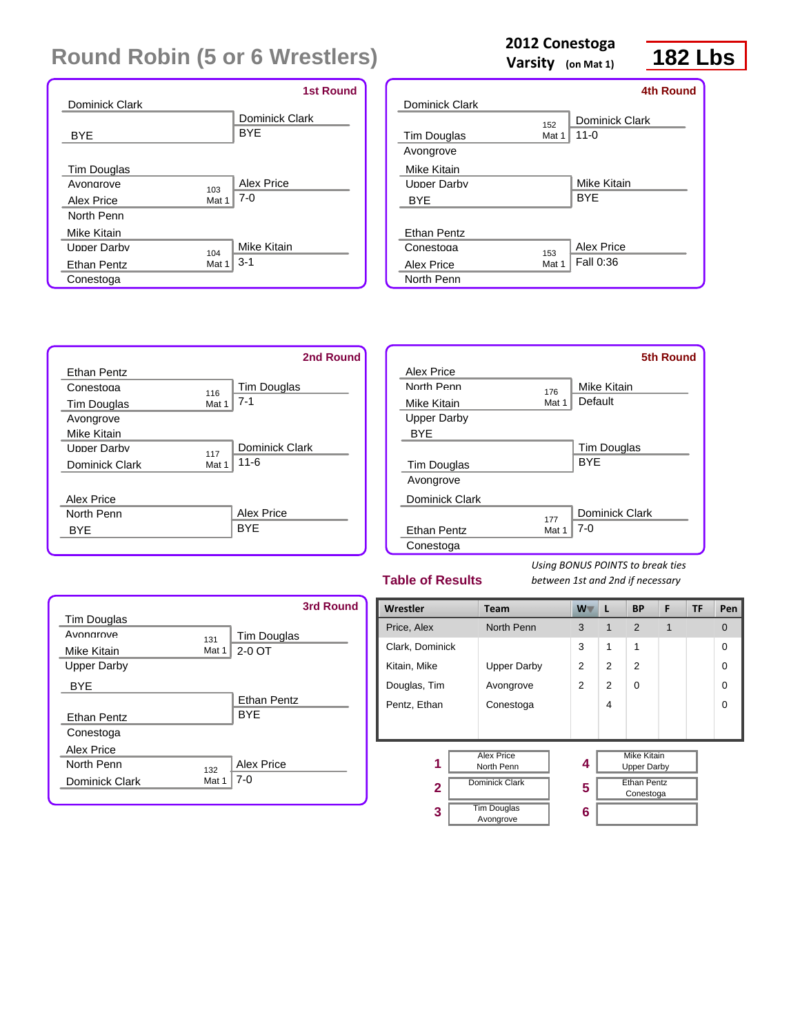|                      |       | <b>1st Round</b> |
|----------------------|-------|------------------|
| Dominick Clark       |       |                  |
|                      |       | Dominick Clark   |
| <b>BYE</b>           |       | <b>BYE</b>       |
|                      |       |                  |
| Tim Douglas          |       |                  |
| Avonarove            | 103   | Alex Price       |
| Alex Price           | Mat 1 | $7-0$            |
| North Penn           |       |                  |
| Mike Kitain          |       |                  |
| <b>I Inner Darhy</b> | 104   | Mike Kitain      |
| Ethan Pentz          | Mat 1 | $3 - 1$          |
| Conestoga            |       |                  |

## **2012 Conestoga**

**Varsity (on Mat 1)**

## **182 Lbs**

|                     |       | <b>4th Round</b> |
|---------------------|-------|------------------|
| Dominick Clark      |       |                  |
|                     | 152   | Dominick Clark   |
| Tim Douglas         | Mat 1 | $11 - 0$         |
| Avongrove           |       |                  |
| Mike Kitain         |       |                  |
| <b>LInner Darby</b> |       | Mike Kitain      |
| <b>BYE</b>          |       | <b>BYE</b>       |
|                     |       |                  |
| Ethan Pentz         |       |                  |
| Conestoga           | 153   | Alex Price       |
| Alex Price          | Mat 1 | Fall 0:36        |
| North Penn          |       |                  |



|                    |       | 5th Round          |
|--------------------|-------|--------------------|
| Alex Price         |       |                    |
| North Penn         | 176   | Mike Kitain        |
| Mike Kitain        | Mat 1 | Default            |
| <b>Upper Darby</b> |       |                    |
| <b>BYE</b>         |       |                    |
|                    |       | <b>Tim Douglas</b> |
| <b>Tim Douglas</b> |       | <b>BYF</b>         |
| Avongrove          |       |                    |
| Dominick Clark     |       |                    |
|                    | 177   | Dominick Clark     |
| <b>Ethan Pentz</b> | Mat 1 | $7-0$              |
| Conestoga          |       |                    |
|                    |       |                    |

#### **Table of Results**

|                    |       | 3rd Round          |
|--------------------|-------|--------------------|
| Tim Douglas        |       |                    |
| Avonarove          | 131   | Tim Douglas        |
| Mike Kitain        | Mat 1 | 2-0 OT             |
| <b>Upper Darby</b> |       |                    |
| <b>BYE</b>         |       |                    |
|                    |       | <b>Ethan Pentz</b> |
| Ethan Pentz        |       | <b>BYF</b>         |
| Conestoga          |       |                    |
| Alex Price         |       |                    |
| North Penn         | 132   | Alex Price         |
| Dominick Clark     | Mat 1 | 7-0                |
|                    |       |                    |

| Wrestler                             | <b>Team</b>                     | $W^-$          | L                                        | <b>BP</b>      | F | TF | Pen      |
|--------------------------------------|---------------------------------|----------------|------------------------------------------|----------------|---|----|----------|
| Price, Alex                          | North Penn                      | 3              | 1                                        | 2              | 1 |    | 0        |
| Clark, Dominick                      |                                 | 3              | 1                                        | 1              |   |    | $\Omega$ |
| Kitain, Mike                         | <b>Upper Darby</b>              | $\overline{2}$ | $\overline{2}$                           | $\mathfrak{p}$ |   |    | $\Omega$ |
| Douglas, Tim                         | Avongrove                       | $\mathfrak{p}$ | 2                                        | $\Omega$       |   |    | $\Omega$ |
| Pentz, Ethan                         | Conestoga                       |                | 4                                        |                |   |    | $\Omega$ |
|                                      |                                 |                |                                          |                |   |    |          |
| <b>Alex Price</b><br>1<br>North Penn |                                 | 4              | <b>Mike Kitain</b><br><b>Upper Darby</b> |                |   |    |          |
| $\overline{2}$                       | <b>Dominick Clark</b>           |                | <b>Ethan Pentz</b><br>Conestoga          |                |   |    |          |
| 3                                    | <b>Tim Douglas</b><br>Avongrove | 6              |                                          |                |   |    |          |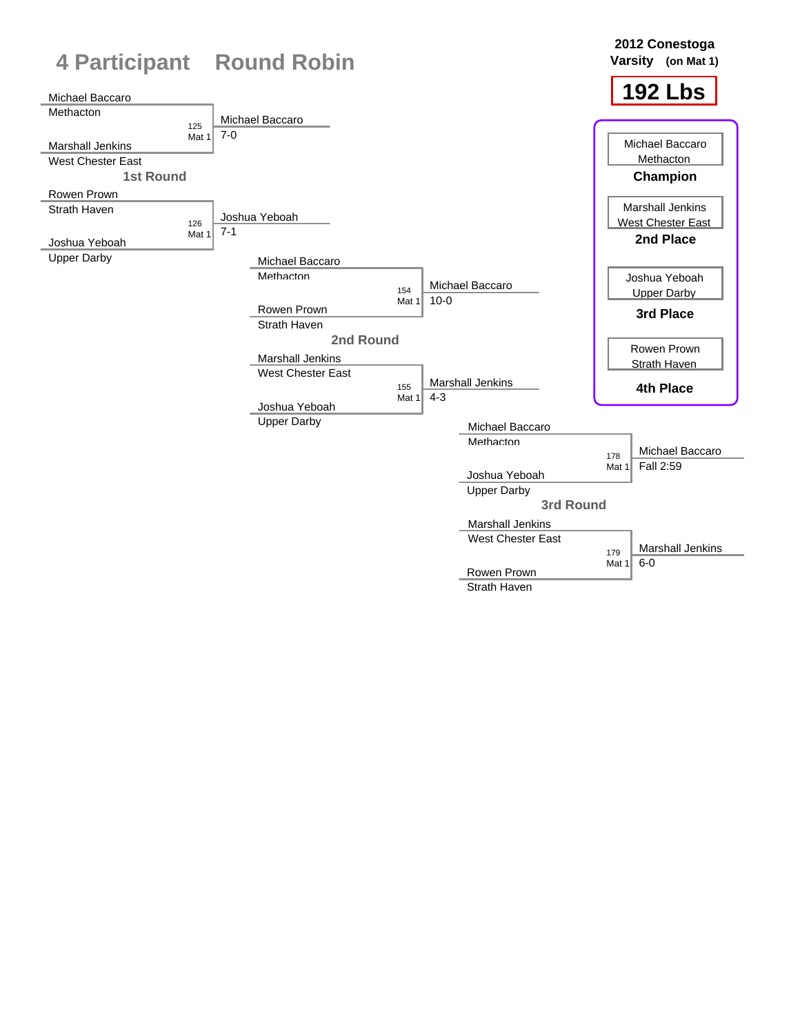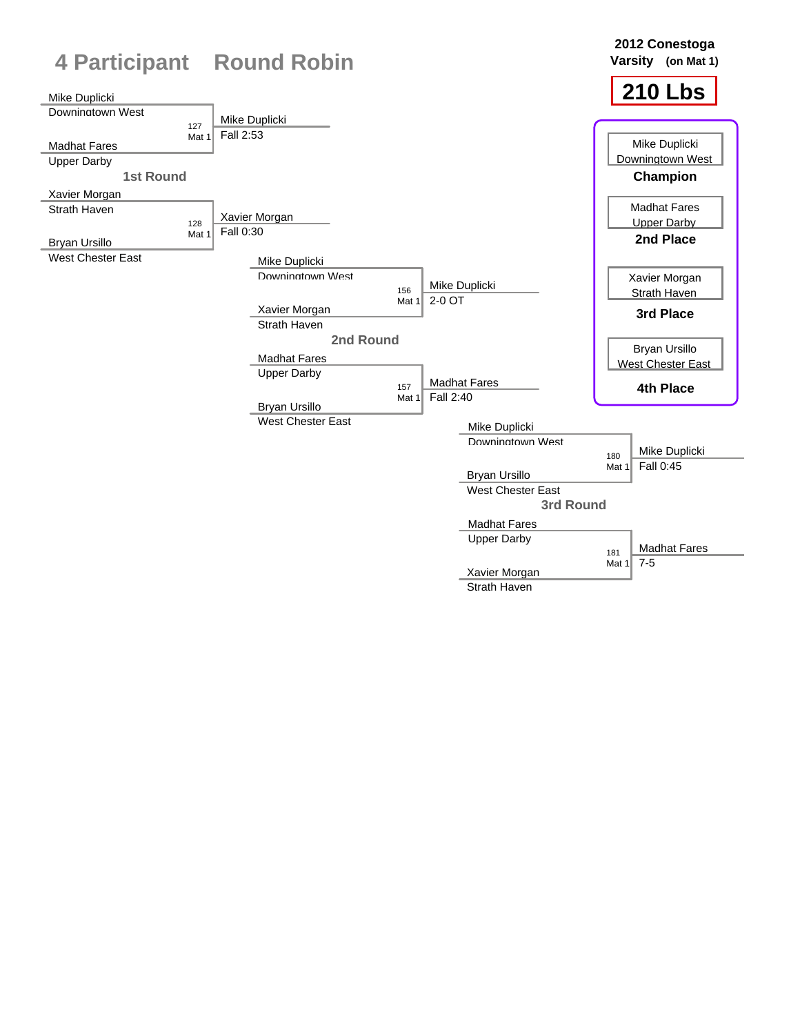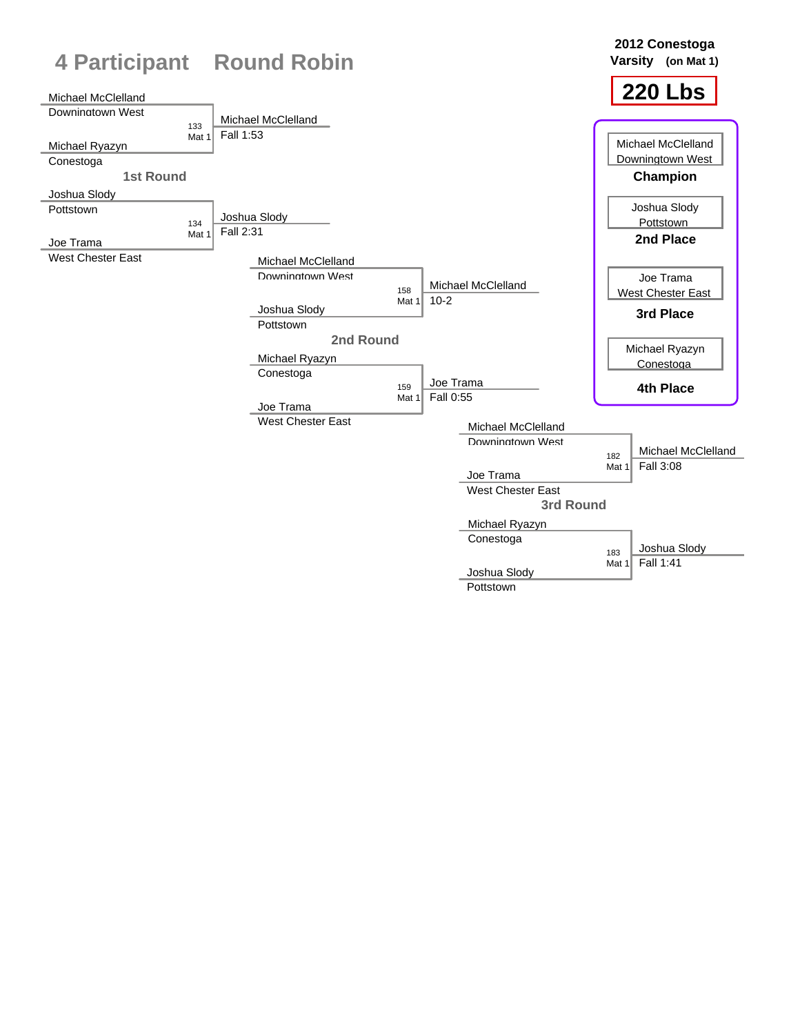